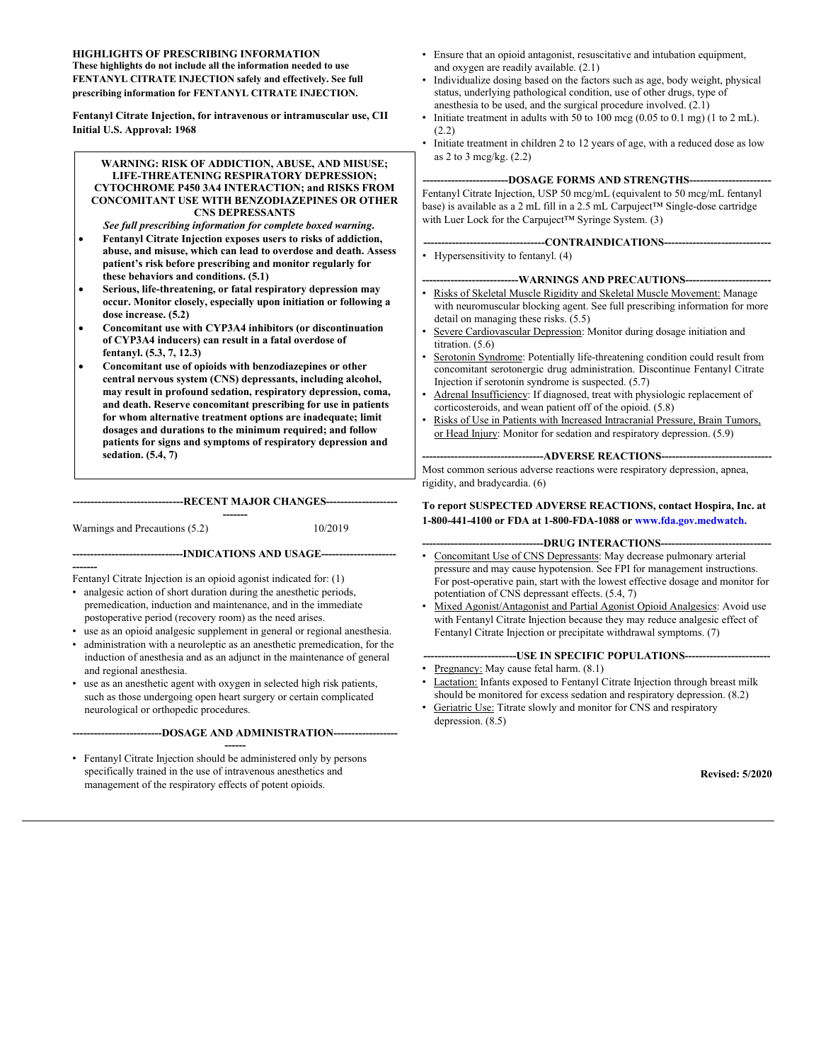#### **HIGHLIGHTS OF PRESCRIBING INFORMATION These highlights do not include all the information needed to use FENTANYL CITRATE INJECTION safely and effectively. See full prescribing information for FENTANYL CITRATE INJECTION.**

**Fentanyl Citrate Injection, for intravenous or intramuscular use, CII Initial U.S. Approval: 1968**

#### **WARNING: RISK OF ADDICTION, ABUSE, AND MISUSE; LIFE-THREATENING RESPIRATORY DEPRESSION; CYTOCHROME P450 3A4 INTERACTION; and RISKS FROM CONCOMITANT USE WITH BENZODIAZEPINES OR OTHER CNS DEPRESSANTS**

- *See full prescribing information for complete boxed warning***. Fentanyl Citrate Injection exposes users to risks of addiction, abuse, and misuse, which can lead to overdose and death. Assess patient's risk before prescribing and monitor regularly for these behaviors and conditions. (5.1)**
- **Serious, life-threatening, or fatal respiratory depression may occur. Monitor closely, especially upon initiation or following a dose increase. (5.2)**
- **Concomitant use with CYP3A4 inhibitors (or discontinuation of CYP3A4 inducers) can result in a fatal overdose of fentanyl. (5.3, 7, 12.3)**
- **Concomitant use of opioids with benzodiazepines or other central nervous system (CNS) depressants, including alcohol, may result in profound sedation, respiratory depression, coma, and death. Reserve concomitant prescribing for use in patients for whom alternative treatment options are inadequate; limit dosages and durations to the minimum required; and follow patients for signs and symptoms of respiratory depression and sedation. (5.4, 7)**

#### **-------------------------------RECENT MAJOR CHANGES--------------------**

**-------------------------------INDICATIONS AND USAGE---------------------**

**-------**

Warnings and Precautions (5.2) 10/2019

**-------** Fentanyl Citrate Injection is an opioid agonist indicated for: (1)

- analgesic action of short duration during the anesthetic periods, premedication, induction and maintenance, and in the immediate postoperative period (recovery room) as the need arises.
- use as an opioid analgesic supplement in general or regional anesthesia. administration with a neuroleptic as an anesthetic premedication, for the
- induction of anesthesia and as an adjunct in the maintenance of general and regional anesthesia.
- use as an anesthetic agent with oxygen in selected high risk patients, such as those undergoing open heart surgery or certain complicated neurological or orthopedic procedures.

**-------------------------DOSAGE AND ADMINISTRATION------------------**

**------** • Fentanyl Citrate Injection should be administered only by persons specifically trained in the use of intravenous anesthetics and management of the respiratory effects of potent opioids.

- Ensure that an opioid antagonist, resuscitative and intubation equipment, and oxygen are readily available. (2.1)
- Individualize dosing based on the factors such as age, body weight, physical status, underlying pathological condition, use of other drugs, type of anesthesia to be used, and the surgical procedure involved. (2.1)
- Initiate treatment in adults with 50 to 100 mcg (0.05 to 0.1 mg) (1 to 2 mL). (2.2)
- Initiate treatment in children 2 to 12 years of age, with a reduced dose as low as 2 to 3 mcg/kg. (2.2)

#### **------------------------DOSAGE FORMS AND STRENGTHS-----------------------**

Fentanyl Citrate Injection, USP 50 mcg/mL (equivalent to 50 mcg/mL fentanyl base) is available as a 2 mL fill in a 2.5 mL Carpuject™ Single-dose cartridge with Luer Lock for the Carpuject™ Syringe System. (3)

- **----------------------------------CONTRAINDICATIONS------------------------------**
- Hypersensitivity to fentanyl. (4)

#### **-WARNINGS AND PRECAUTIONS----**

- Risks of Skeletal Muscle Rigidity and Skeletal Muscle Movement: Manage with neuromuscular blocking agent. See full prescribing information for more detail on managing these risks. (5.5)
- Severe Cardiovascular Depression: Monitor during dosage initiation and titration. (5.6)
- Serotonin Syndrome: Potentially life-threatening condition could result from concomitant serotonergic drug administration. Discontinue Fentanyl Citrate Injection if serotonin syndrome is suspected. (5.7)
- Adrenal Insufficiency: If diagnosed, treat with physiologic replacement of corticosteroids, and wean patient off of the opioid. (5.8)
- Risks of Use in Patients with Increased Intracranial Pressure, Brain Tumors, or Head Injury: Monitor for sedation and respiratory depression. (5.9)

----ADVERSE REACTIONS---

Most common serious adverse reactions were respiratory depression, apnea, rigidity, and bradycardia. (6)

#### **To report SUSPECTED ADVERSE REACTIONS, contact Hospira, Inc. at 1-800-441-4100 or FDA at 1-800-FDA-1088 or www.fda.gov.medwatch.**

#### ---DRUG INTERACTIONS----

- Concomitant Use of CNS Depressants: May decrease pulmonary arterial pressure and may cause hypotension. See FPI for management instructions. For post-operative pain, start with the lowest effective dosage and monitor for potentiation of CNS depressant effects. (5.4, 7)
- Mixed Agonist/Antagonist and Partial Agonist Opioid Analgesics: Avoid use with Fentanyl Citrate Injection because they may reduce analgesic effect of Fentanyl Citrate Injection or precipitate withdrawal symptoms. (7)

#### **--------------------------USE IN SPECIFIC POPULATIONS------------------------**

- Pregnancy: May cause fetal harm.  $(8.1)$
- Lactation: Infants exposed to Fentanyl Citrate Injection through breast milk should be monitored for excess sedation and respiratory depression. (8.2)
- Geriatric Use: Titrate slowly and monitor for CNS and respiratory depression. (8.5)

**Revised: 5/2020**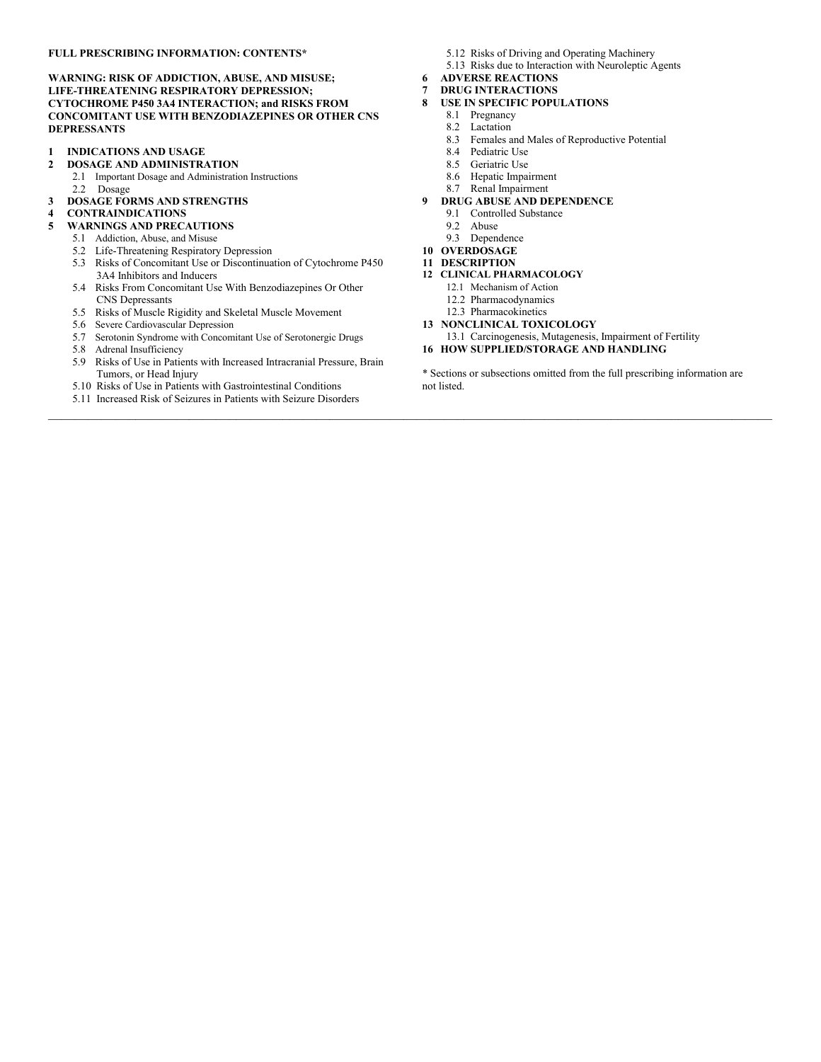#### **FULL PRESCRIBING INFORMATION: CONTENTS\***

**WARNING: RISK OF ADDICTION, ABUSE, AND MISUSE; LIFE-THREATENING RESPIRATORY DEPRESSION; CYTOCHROME P450 3A4 INTERACTION; and RISKS FROM CONCOMITANT USE WITH BENZODIAZEPINES OR OTHER CNS DEPRESSANTS**

- **1 INDICATIONS AND USAGE**
- **2 DOSAGE AND ADMINISTRATION**
	- 2.1 Important Dosage and Administration Instructions
	- 2.2 Dosage
- **3 DOSAGE FORMS AND STRENGTHS**
- **4 CONTRAINDICATIONS**

#### **5 WARNINGS AND PRECAUTIONS**

- 5.1 Addiction, Abuse, and Misuse
- 5.2 Life-Threatening Respiratory Depression 5.3 Risks of Concomitant Use or Discontinuation of Cytochrome P450 3A4 Inhibitors and Inducers
- 5.4 Risks From Concomitant Use With Benzodiazepines Or Other CNS Depressants
- 5.5 Risks of Muscle Rigidity and Skeletal Muscle Movement
- 5.6 Severe Cardiovascular Depression
- 5.7 Serotonin Syndrome with Concomitant Use of Serotonergic Drugs
- 5.8 Adrenal Insufficiency
- 5.9 Risks of Use in Patients with Increased Intracranial Pressure, Brain Tumors, or Head Injury
- 5.10 Risks of Use in Patients with Gastrointestinal Conditions
- 5.11 Increased Risk of Seizures in Patients with Seizure Disorders
- 5.12 Risks of Driving and Operating Machinery
- 5.13 Risks due to Interaction with Neuroleptic Agents
- **6 ADVERSE REACTIONS**
- **7 DRUG INTERACTIONS**
- **8 USE IN SPECIFIC POPULATIONS** 
	- 8.1 Pregnancy 8.2 Lactation
		-
	- 8.3 Females and Males of Reproductive Potential
	- 8.4 Pediatric Use
	- 8.5 Geriatric Use
	- 8.6 Hepatic Impairment 8.7 Renal Impairment
- **9 DRUG ABUSE AND DEPENDENCE**
- 9.1 Controlled Substance
	- 9.2 Abuse
	- 9.3 Dependence
- **10 OVERDOSAGE**
- **11 DESCRIPTION**
- **12 CLINICAL PHARMACOLOGY** 
	- 12.1 Mechanism of Action
	- 12.2 Pharmacodynamics
	- 12.3 Pharmacokinetics
- **13 NONCLINICAL TOXICOLOGY**
	- 13.1 Carcinogenesis, Mutagenesis, Impairment of Fertility
- **16 HOW SUPPLIED/STORAGE AND HANDLING**

\* Sections or subsections omitted from the full prescribing information are not listed.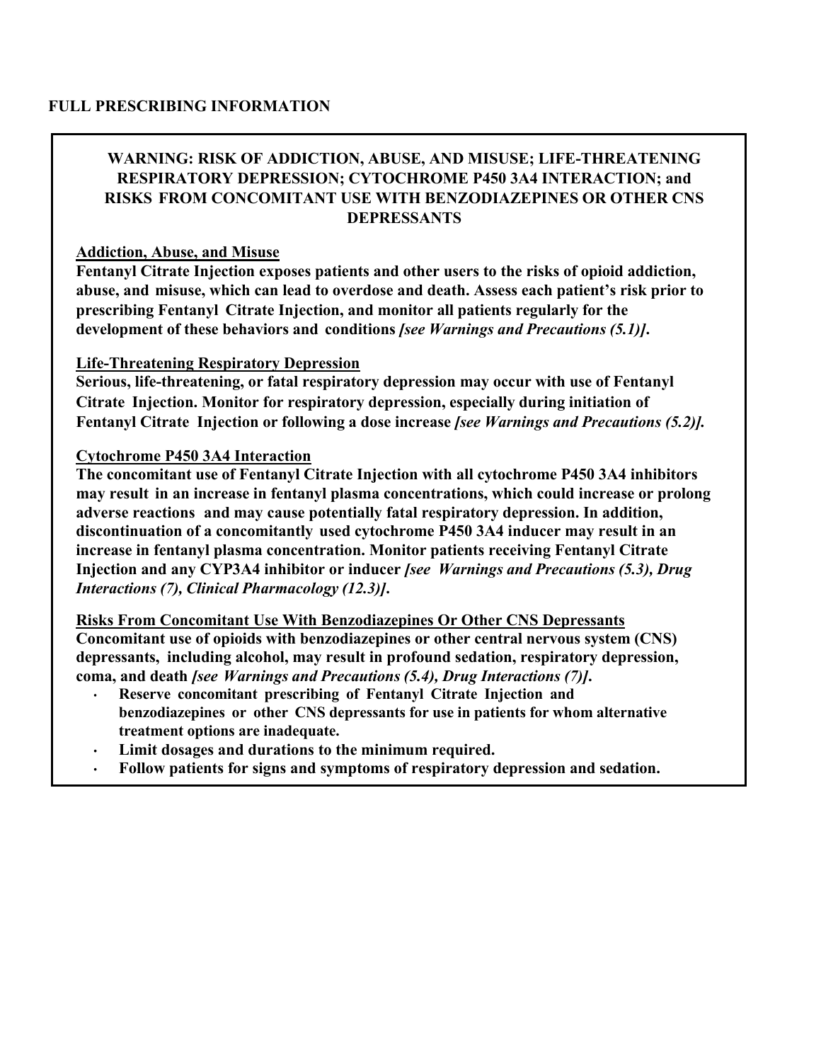# **WARNING: RISK OF ADDICTION, ABUSE, AND MISUSE; LIFE-THREATENING RESPIRATORY DEPRESSION; CYTOCHROME P450 3A4 INTERACTION; and RISKS FROM CONCOMITANT USE WITH BENZODIAZEPINES OR OTHER CNS DEPRESSANTS**

#### **Addiction, Abuse, and Misuse**

**Fentanyl Citrate Injection exposes patients and other users to the risks of opioid addiction, abuse, and misuse, which can lead to overdose and death. Assess each patient's risk prior to prescribing Fentanyl Citrate Injection, and monitor all patients regularly for the development of these behaviors and conditions** *[see Warnings and Precautions (5.1)]***.**

#### **Life-Threatening Respiratory Depression**

**Serious, life-threatening, or fatal respiratory depression may occur with use of Fentanyl Citrate Injection. Monitor for respiratory depression, especially during initiation of Fentanyl Citrate Injection or following a dose increase** *[see Warnings and Precautions (5.2)].*

#### **Cytochrome P450 3A4 Interaction**

**The concomitant use of Fentanyl Citrate Injection with all cytochrome P450 3A4 inhibitors may result in an increase in fentanyl plasma concentrations, which could increase or prolong adverse reactions and may cause potentially fatal respiratory depression. In addition, discontinuation of a concomitantly used cytochrome P450 3A4 inducer may result in an increase in fentanyl plasma concentration. Monitor patients receiving Fentanyl Citrate Injection and any CYP3A4 inhibitor or inducer** *[see Warnings and Precautions (5.3), Drug Interactions (7), Clinical Pharmacology (12.3)]***.**

# **Risks From Concomitant Use With Benzodiazepines Or Other CNS Depressants**

**Concomitant use of opioids with benzodiazepines or other central nervous system (CNS) depressants, including alcohol, may result in profound sedation, respiratory depression, coma, and death** *[see Warnings and Precautions (5.4), Drug Interactions (7)]***.**

- **Reserve concomitant prescribing of Fentanyl Citrate Injection and benzodiazepines or other CNS depressants for use in patients for whom alternative treatment options are inadequate.**
- **Limit dosages and durations to the minimum required.**
- **Follow patients for signs and symptoms of respiratory depression and sedation.**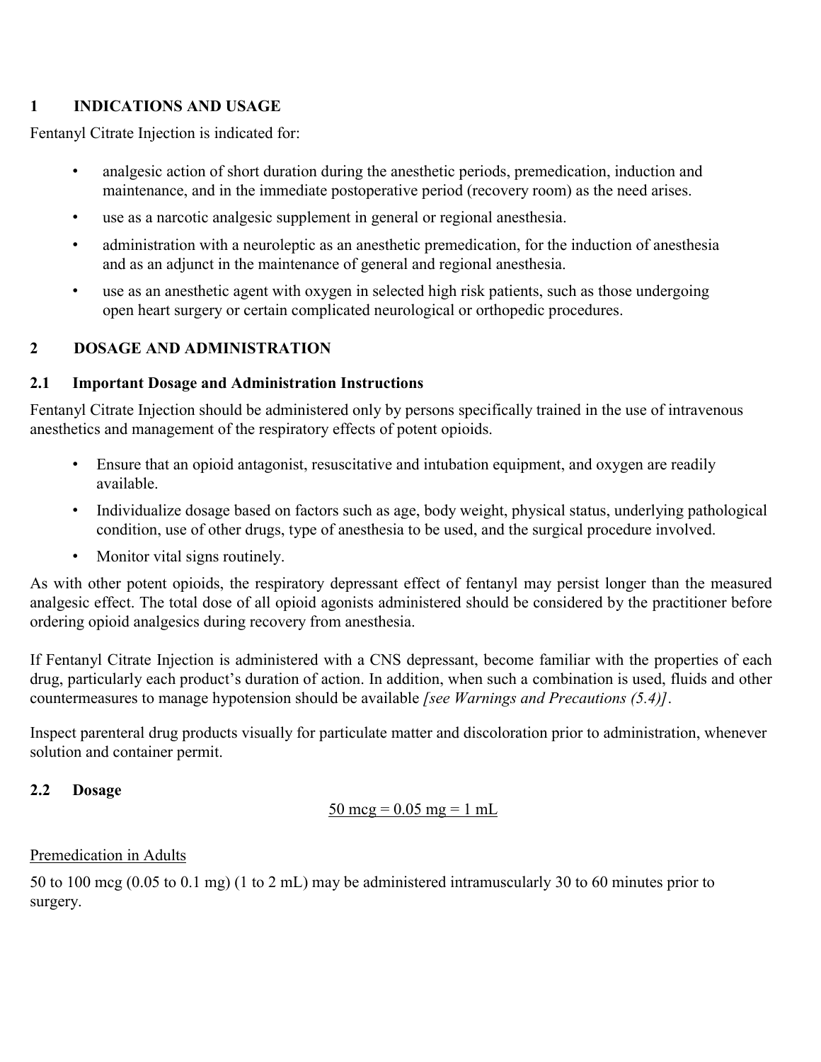# **1 INDICATIONS AND USAGE**

Fentanyl Citrate Injection is indicated for:

- analgesic action of short duration during the anesthetic periods, premedication, induction and maintenance, and in the immediate postoperative period (recovery room) as the need arises.
- use as a narcotic analgesic supplement in general or regional anesthesia.
- administration with a neuroleptic as an anesthetic premedication, for the induction of anesthesia and as an adjunct in the maintenance of general and regional anesthesia.
- use as an anesthetic agent with oxygen in selected high risk patients, such as those undergoing open heart surgery or certain complicated neurological or orthopedic procedures.

# **2 DOSAGE AND ADMINISTRATION**

### **2.1 Important Dosage and Administration Instructions**

Fentanyl Citrate Injection should be administered only by persons specifically trained in the use of intravenous anesthetics and management of the respiratory effects of potent opioids.

- Ensure that an opioid antagonist, resuscitative and intubation equipment, and oxygen are readily available.
- Individualize dosage based on factors such as age, body weight, physical status, underlying pathological condition, use of other drugs, type of anesthesia to be used, and the surgical procedure involved.
- Monitor vital signs routinely.

As with other potent opioids, the respiratory depressant effect of fentanyl may persist longer than the measured analgesic effect. The total dose of all opioid agonists administered should be considered by the practitioner before ordering opioid analgesics during recovery from anesthesia.

If Fentanyl Citrate Injection is administered with a CNS depressant, become familiar with the properties of each drug, particularly each product's duration of action. In addition, when such a combination is used, fluids and other countermeasures to manage hypotension should be available *[see Warnings and Precautions (5.4)]*.

Inspect parenteral drug products visually for particulate matter and discoloration prior to administration, whenever solution and container permit.

### **2.2 Dosage**

50 mcg =  $0.05$  mg = 1 mL

### Premedication in Adults

50 to 100 mcg (0.05 to 0.1 mg) (1 to 2 mL) may be administered intramuscularly 30 to 60 minutes prior to surgery.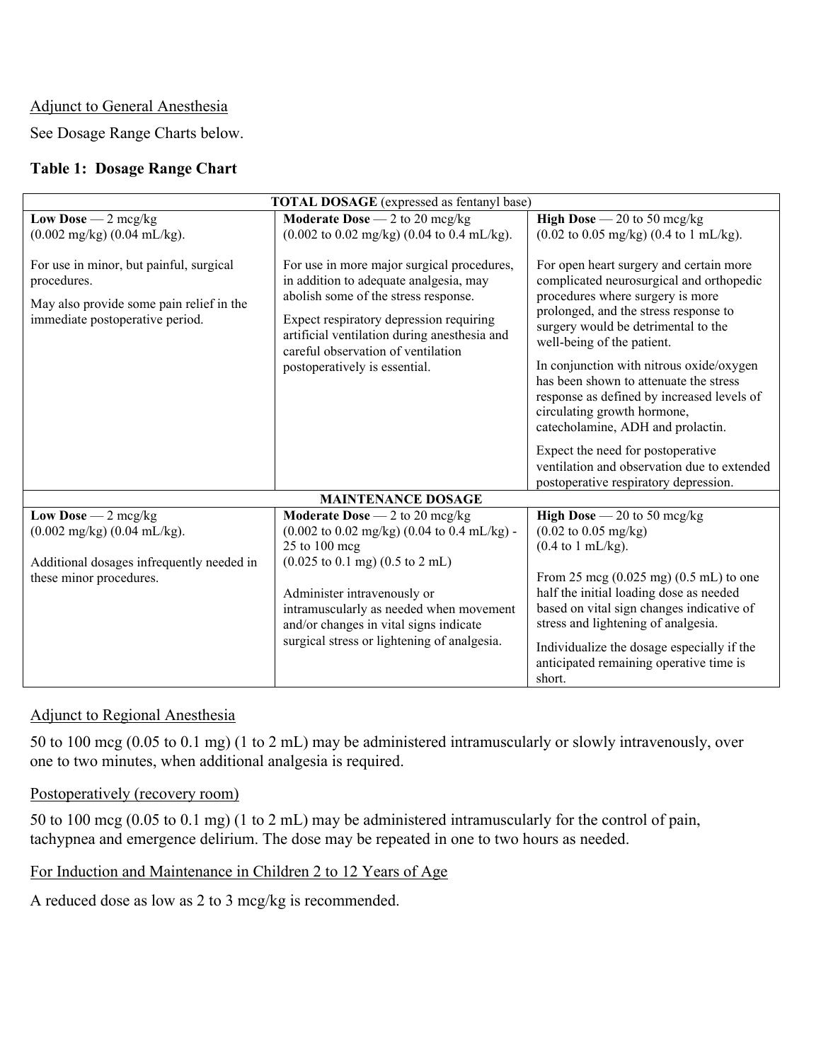#### Adjunct to General Anesthesia

See Dosage Range Charts below.

### **Table 1: Dosage Range Chart**

| <b>TOTAL DOSAGE</b> (expressed as fentanyl base)                                                                                               |                                                                                                                                                                                                                                                                                                                                                                                 |                                                                                                                                                                                                                                                                                                                                                                                                                                               |  |  |
|------------------------------------------------------------------------------------------------------------------------------------------------|---------------------------------------------------------------------------------------------------------------------------------------------------------------------------------------------------------------------------------------------------------------------------------------------------------------------------------------------------------------------------------|-----------------------------------------------------------------------------------------------------------------------------------------------------------------------------------------------------------------------------------------------------------------------------------------------------------------------------------------------------------------------------------------------------------------------------------------------|--|--|
| Low Dose $-2$ mcg/kg<br>$(0.002 \text{ mg/kg}) (0.04 \text{ mL/kg})$ .                                                                         | Moderate Dose $-2$ to 20 mcg/kg<br>$(0.002 \text{ to } 0.02 \text{ mg/kg})$ (0.04 to 0.4 mL/kg).                                                                                                                                                                                                                                                                                | <b>High Dose</b> $-20$ to 50 mcg/kg<br>$(0.02 \text{ to } 0.05 \text{ mg/kg})$ (0.4 to 1 mL/kg).                                                                                                                                                                                                                                                                                                                                              |  |  |
| For use in minor, but painful, surgical<br>procedures.<br>May also provide some pain relief in the<br>immediate postoperative period.          | For use in more major surgical procedures,<br>in addition to adequate analgesia, may<br>abolish some of the stress response.<br>Expect respiratory depression requiring<br>artificial ventilation during anesthesia and<br>careful observation of ventilation<br>postoperatively is essential.                                                                                  | For open heart surgery and certain more<br>complicated neurosurgical and orthopedic<br>procedures where surgery is more<br>prolonged, and the stress response to<br>surgery would be detrimental to the<br>well-being of the patient.<br>In conjunction with nitrous oxide/oxygen<br>has been shown to attenuate the stress<br>response as defined by increased levels of<br>circulating growth hormone,<br>catecholamine, ADH and prolactin. |  |  |
|                                                                                                                                                |                                                                                                                                                                                                                                                                                                                                                                                 | Expect the need for postoperative<br>ventilation and observation due to extended<br>postoperative respiratory depression.                                                                                                                                                                                                                                                                                                                     |  |  |
| <b>MAINTENANCE DOSAGE</b>                                                                                                                      |                                                                                                                                                                                                                                                                                                                                                                                 |                                                                                                                                                                                                                                                                                                                                                                                                                                               |  |  |
| Low Dose $-2$ mcg/kg<br>$(0.002 \text{ mg/kg}) (0.04 \text{ mL/kg})$ .<br>Additional dosages infrequently needed in<br>these minor procedures. | Moderate Dose $-2$ to 20 mcg/kg<br>$(0.002 \text{ to } 0.02 \text{ mg/kg}) (0.04 \text{ to } 0.4 \text{ mL/kg})$ -<br>25 to 100 mcg<br>$(0.025 \text{ to } 0.1 \text{ mg})$ $(0.5 \text{ to } 2 \text{ mL})$<br>Administer intravenously or<br>intramuscularly as needed when movement<br>and/or changes in vital signs indicate<br>surgical stress or lightening of analgesia. | <b>High Dose</b> $-20$ to 50 mcg/kg<br>$(0.02 \text{ to } 0.05 \text{ mg/kg})$<br>$(0.4 \text{ to } 1 \text{ mL/kg}).$<br>From 25 mcg $(0.025 \text{ mg}) (0.5 \text{ mL})$ to one<br>half the initial loading dose as needed<br>based on vital sign changes indicative of<br>stress and lightening of analgesia.<br>Individualize the dosage especially if the<br>anticipated remaining operative time is<br>short.                          |  |  |

#### Adjunct to Regional Anesthesia

50 to 100 mcg (0.05 to 0.1 mg) (1 to 2 mL) may be administered intramuscularly or slowly intravenously, over one to two minutes, when additional analgesia is required.

### Postoperatively (recovery room)

50 to 100 mcg (0.05 to 0.1 mg) (1 to 2 mL) may be administered intramuscularly for the control of pain, tachypnea and emergence delirium. The dose may be repeated in one to two hours as needed.

For Induction and Maintenance in Children 2 to 12 Years of Age

A reduced dose as low as 2 to 3 mcg/kg is recommended.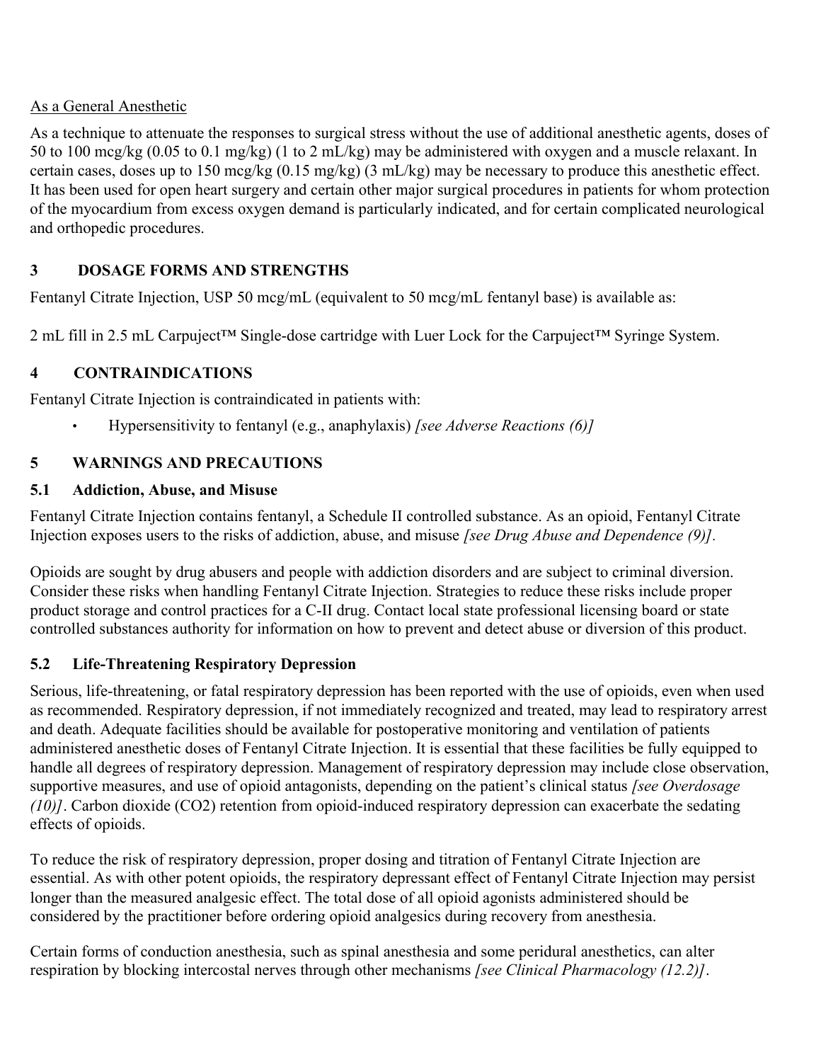# As a General Anesthetic

As a technique to attenuate the responses to surgical stress without the use of additional anesthetic agents, doses of 50 to 100 mcg/kg (0.05 to 0.1 mg/kg) (1 to 2 mL/kg) may be administered with oxygen and a muscle relaxant. In certain cases, doses up to 150 mcg/kg (0.15 mg/kg) (3 mL/kg) may be necessary to produce this anesthetic effect. It has been used for open heart surgery and certain other major surgical procedures in patients for whom protection of the myocardium from excess oxygen demand is particularly indicated, and for certain complicated neurological and orthopedic procedures.

# **3 DOSAGE FORMS AND STRENGTHS**

Fentanyl Citrate Injection, USP 50 mcg/mL (equivalent to 50 mcg/mL fentanyl base) is available as:

2 mL fill in 2.5 mL Carpuject™ Single-dose cartridge with Luer Lock for the Carpuject™ Syringe System.

# **4 CONTRAINDICATIONS**

Fentanyl Citrate Injection is contraindicated in patients with:

• Hypersensitivity to fentanyl (e.g., anaphylaxis) *[see Adverse Reactions (6)]*

# **5 WARNINGS AND PRECAUTIONS**

# **5.1 Addiction, Abuse, and Misuse**

Fentanyl Citrate Injection contains fentanyl, a Schedule II controlled substance. As an opioid, Fentanyl Citrate Injection exposes users to the risks of addiction, abuse, and misuse *[see Drug Abuse and Dependence (9)].*

Opioids are sought by drug abusers and people with addiction disorders and are subject to criminal diversion. Consider these risks when handling Fentanyl Citrate Injection. Strategies to reduce these risks include proper product storage and control practices for a C-II drug. Contact local state professional licensing board or state controlled substances authority for information on how to prevent and detect abuse or diversion of this product.

# **5.2 Life-Threatening Respiratory Depression**

Serious, life-threatening, or fatal respiratory depression has been reported with the use of opioids, even when used as recommended. Respiratory depression, if not immediately recognized and treated, may lead to respiratory arrest and death. Adequate facilities should be available for postoperative monitoring and ventilation of patients administered anesthetic doses of Fentanyl Citrate Injection. It is essential that these facilities be fully equipped to handle all degrees of respiratory depression. Management of respiratory depression may include close observation, supportive measures, and use of opioid antagonists, depending on the patient's clinical status *[see Overdosage (10)]*. Carbon dioxide (CO2) retention from opioid-induced respiratory depression can exacerbate the sedating effects of opioids.

To reduce the risk of respiratory depression, proper dosing and titration of Fentanyl Citrate Injection are essential. As with other potent opioids, the respiratory depressant effect of Fentanyl Citrate Injection may persist longer than the measured analgesic effect. The total dose of all opioid agonists administered should be considered by the practitioner before ordering opioid analgesics during recovery from anesthesia.

Certain forms of conduction anesthesia, such as spinal anesthesia and some peridural anesthetics, can alter respiration by blocking intercostal nerves through other mechanisms *[see Clinical Pharmacology (12.2)]*.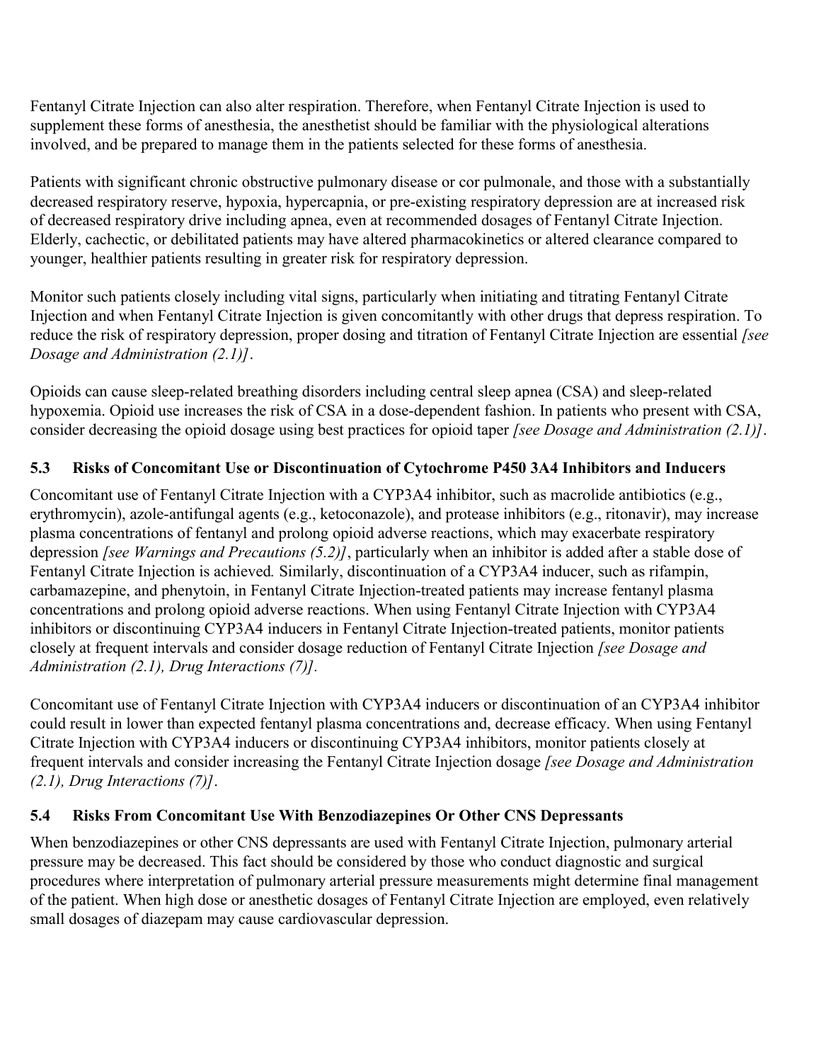Fentanyl Citrate Injection can also alter respiration. Therefore, when Fentanyl Citrate Injection is used to supplement these forms of anesthesia, the anesthetist should be familiar with the physiological alterations involved, and be prepared to manage them in the patients selected for these forms of anesthesia.

Patients with significant chronic obstructive pulmonary disease or cor pulmonale, and those with a substantially decreased respiratory reserve, hypoxia, hypercapnia, or pre-existing respiratory depression are at increased risk of decreased respiratory drive including apnea, even at recommended dosages of Fentanyl Citrate Injection. Elderly, cachectic, or debilitated patients may have altered pharmacokinetics or altered clearance compared to younger, healthier patients resulting in greater risk for respiratory depression.

Monitor such patients closely including vital signs, particularly when initiating and titrating Fentanyl Citrate Injection and when Fentanyl Citrate Injection is given concomitantly with other drugs that depress respiration. To reduce the risk of respiratory depression, proper dosing and titration of Fentanyl Citrate Injection are essential *[see Dosage and Administration (2.1)]*.

Opioids can cause sleep-related breathing disorders including central sleep apnea (CSA) and sleep-related hypoxemia. Opioid use increases the risk of CSA in a dose-dependent fashion. In patients who present with CSA, consider decreasing the opioid dosage using best practices for opioid taper *[see Dosage and Administration (2.1)]*.

# **5.3 Risks of Concomitant Use or Discontinuation of Cytochrome P450 3A4 Inhibitors and Inducers**

Concomitant use of Fentanyl Citrate Injection with a CYP3A4 inhibitor, such as macrolide antibiotics (e.g., erythromycin), azole-antifungal agents (e.g., ketoconazole), and protease inhibitors (e.g., ritonavir), may increase plasma concentrations of fentanyl and prolong opioid adverse reactions, which may exacerbate respiratory depression *[see Warnings and Precautions (5.2)]*, particularly when an inhibitor is added after a stable dose of Fentanyl Citrate Injection is achieved*.* Similarly, discontinuation of a CYP3A4 inducer, such as rifampin, carbamazepine, and phenytoin, in Fentanyl Citrate Injection-treated patients may increase fentanyl plasma concentrations and prolong opioid adverse reactions. When using Fentanyl Citrate Injection with CYP3A4 inhibitors or discontinuing CYP3A4 inducers in Fentanyl Citrate Injection-treated patients, monitor patients closely at frequent intervals and consider dosage reduction of Fentanyl Citrate Injection *[see Dosage and Administration (2.1), Drug Interactions (7)].*

Concomitant use of Fentanyl Citrate Injection with CYP3A4 inducers or discontinuation of an CYP3A4 inhibitor could result in lower than expected fentanyl plasma concentrations and, decrease efficacy. When using Fentanyl Citrate Injection with CYP3A4 inducers or discontinuing CYP3A4 inhibitors, monitor patients closely at frequent intervals and consider increasing the Fentanyl Citrate Injection dosage *[see Dosage and Administration (2.1), Drug Interactions (7)]*.

# **5.4 Risks From Concomitant Use With Benzodiazepines Or Other CNS Depressants**

When benzodiazepines or other CNS depressants are used with Fentanyl Citrate Injection, pulmonary arterial pressure may be decreased. This fact should be considered by those who conduct diagnostic and surgical procedures where interpretation of pulmonary arterial pressure measurements might determine final management of the patient. When high dose or anesthetic dosages of Fentanyl Citrate Injection are employed, even relatively small dosages of diazepam may cause cardiovascular depression.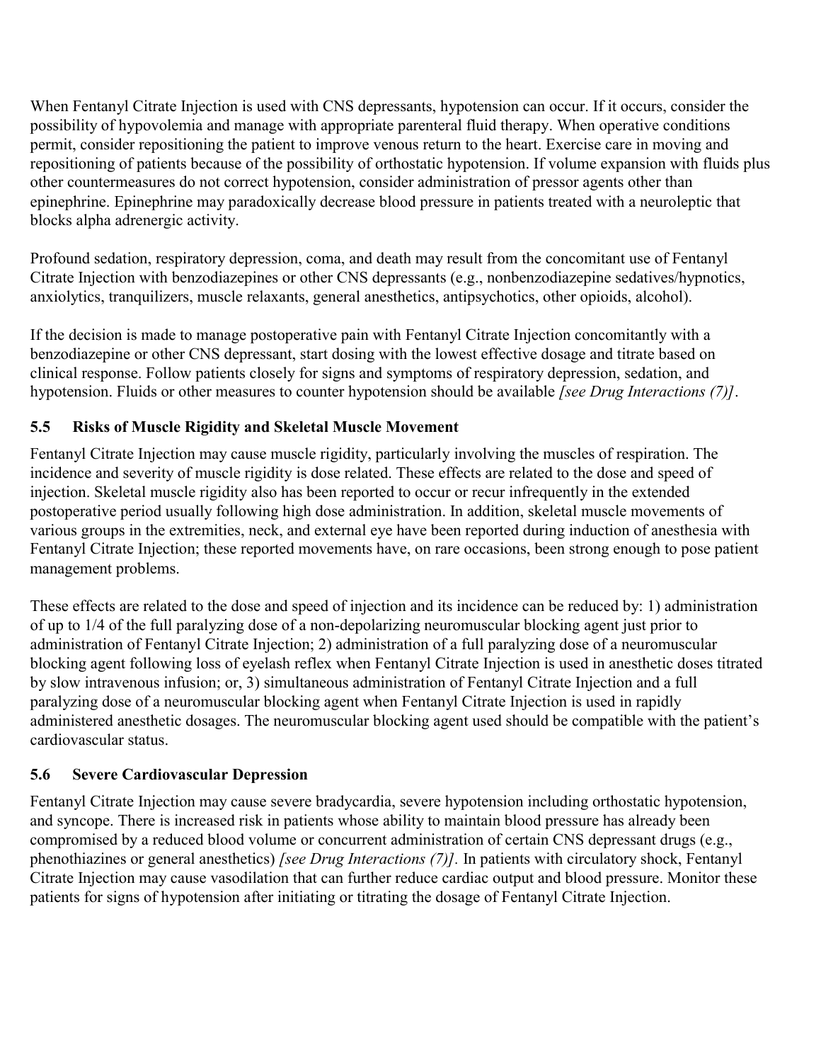When Fentanyl Citrate Injection is used with CNS depressants, hypotension can occur. If it occurs, consider the possibility of hypovolemia and manage with appropriate parenteral fluid therapy. When operative conditions permit, consider repositioning the patient to improve venous return to the heart. Exercise care in moving and repositioning of patients because of the possibility of orthostatic hypotension. If volume expansion with fluids plus other countermeasures do not correct hypotension, consider administration of pressor agents other than epinephrine. Epinephrine may paradoxically decrease blood pressure in patients treated with a neuroleptic that blocks alpha adrenergic activity.

Profound sedation, respiratory depression, coma, and death may result from the concomitant use of Fentanyl Citrate Injection with benzodiazepines or other CNS depressants (e.g., nonbenzodiazepine sedatives/hypnotics, anxiolytics, tranquilizers, muscle relaxants, general anesthetics, antipsychotics, other opioids, alcohol).

If the decision is made to manage postoperative pain with Fentanyl Citrate Injection concomitantly with a benzodiazepine or other CNS depressant, start dosing with the lowest effective dosage and titrate based on clinical response. Follow patients closely for signs and symptoms of respiratory depression, sedation, and hypotension. Fluids or other measures to counter hypotension should be available *[see Drug Interactions (7)]*.

# **5.5 Risks of Muscle Rigidity and Skeletal Muscle Movement**

Fentanyl Citrate Injection may cause muscle rigidity, particularly involving the muscles of respiration. The incidence and severity of muscle rigidity is dose related. These effects are related to the dose and speed of injection. Skeletal muscle rigidity also has been reported to occur or recur infrequently in the extended postoperative period usually following high dose administration. In addition, skeletal muscle movements of various groups in the extremities, neck, and external eye have been reported during induction of anesthesia with Fentanyl Citrate Injection; these reported movements have, on rare occasions, been strong enough to pose patient management problems.

These effects are related to the dose and speed of injection and its incidence can be reduced by: 1) administration of up to 1/4 of the full paralyzing dose of a non-depolarizing neuromuscular blocking agent just prior to administration of Fentanyl Citrate Injection; 2) administration of a full paralyzing dose of a neuromuscular blocking agent following loss of eyelash reflex when Fentanyl Citrate Injection is used in anesthetic doses titrated by slow intravenous infusion; or, 3) simultaneous administration of Fentanyl Citrate Injection and a full paralyzing dose of a neuromuscular blocking agent when Fentanyl Citrate Injection is used in rapidly administered anesthetic dosages. The neuromuscular blocking agent used should be compatible with the patient's cardiovascular status.

# **5.6 Severe Cardiovascular Depression**

Fentanyl Citrate Injection may cause severe bradycardia, severe hypotension including orthostatic hypotension, and syncope. There is increased risk in patients whose ability to maintain blood pressure has already been compromised by a reduced blood volume or concurrent administration of certain CNS depressant drugs (e.g., phenothiazines or general anesthetics) *[see Drug Interactions (7)].* In patients with circulatory shock, Fentanyl Citrate Injection may cause vasodilation that can further reduce cardiac output and blood pressure. Monitor these patients for signs of hypotension after initiating or titrating the dosage of Fentanyl Citrate Injection.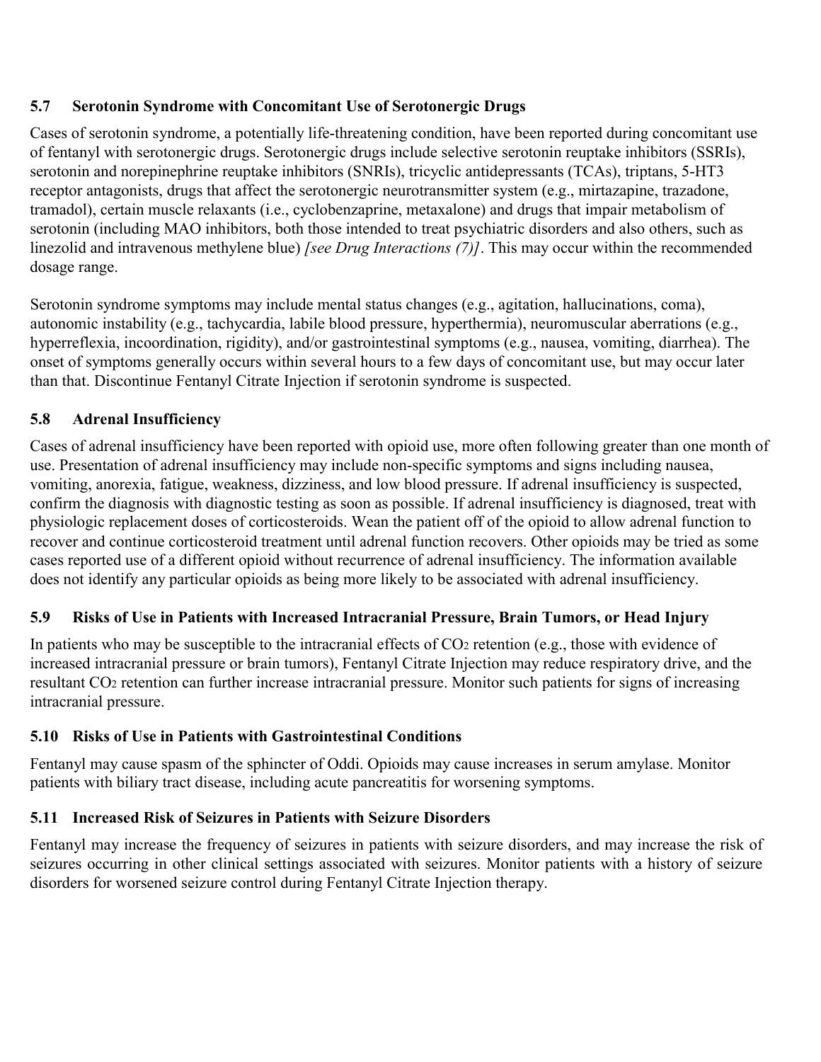# **5.7 Serotonin Syndrome with Concomitant Use of Serotonergic Drugs**

Cases of serotonin syndrome, a potentially life-threatening condition, have been reported during concomitant use of fentanyl with serotonergic drugs. Serotonergic drugs include selective serotonin reuptake inhibitors (SSRIs), serotonin and norepinephrine reuptake inhibitors (SNRIs), tricyclic antidepressants (TCAs), triptans, 5-HT3 receptor antagonists, drugs that affect the serotonergic neurotransmitter system (e.g., mirtazapine, trazadone, tramadol), certain muscle relaxants (i.e., cyclobenzaprine, metaxalone) and drugs that impair metabolism of serotonin (including MAO inhibitors, both those intended to treat psychiatric disorders and also others, such as linezolid and intravenous methylene blue) *[see Drug Interactions (7)]*. This may occur within the recommended dosage range.

Serotonin syndrome symptoms may include mental status changes (e.g., agitation, hallucinations, coma), autonomic instability (e.g., tachycardia, labile blood pressure, hyperthermia), neuromuscular aberrations (e.g., hyperreflexia, incoordination, rigidity), and/or gastrointestinal symptoms (e.g., nausea, vomiting, diarrhea). The onset of symptoms generally occurs within several hours to a few days of concomitant use, but may occur later than that. Discontinue Fentanyl Citrate Injection if serotonin syndrome is suspected.

# **5.8 Adrenal Insufficiency**

Cases of adrenal insufficiency have been reported with opioid use, more often following greater than one month of use. Presentation of adrenal insufficiency may include non-specific symptoms and signs including nausea, vomiting, anorexia, fatigue, weakness, dizziness, and low blood pressure. If adrenal insufficiency is suspected, confirm the diagnosis with diagnostic testing as soon as possible. If adrenal insufficiency is diagnosed, treat with physiologic replacement doses of corticosteroids. Wean the patient off of the opioid to allow adrenal function to recover and continue corticosteroid treatment until adrenal function recovers. Other opioids may be tried as some cases reported use of a different opioid without recurrence of adrenal insufficiency. The information available does not identify any particular opioids as being more likely to be associated with adrenal insufficiency.

# **5.9 Risks of Use in Patients with Increased Intracranial Pressure, Brain Tumors, or Head Injury**

In patients who may be susceptible to the intracranial effects of CO<sub>2</sub> retention (e.g., those with evidence of increased intracranial pressure or brain tumors), Fentanyl Citrate Injection may reduce respiratory drive, and the resultant CO<sup>2</sup> retention can further increase intracranial pressure. Monitor such patients for signs of increasing intracranial pressure.

# **5.10 Risks of Use in Patients with Gastrointestinal Conditions**

Fentanyl may cause spasm of the sphincter of Oddi. Opioids may cause increases in serum amylase. Monitor patients with biliary tract disease, including acute pancreatitis for worsening symptoms.

# **5.11 Increased Risk of Seizures in Patients with Seizure Disorders**

Fentanyl may increase the frequency of seizures in patients with seizure disorders, and may increase the risk of seizures occurring in other clinical settings associated with seizures. Monitor patients with a history of seizure disorders for worsened seizure control during Fentanyl Citrate Injection therapy.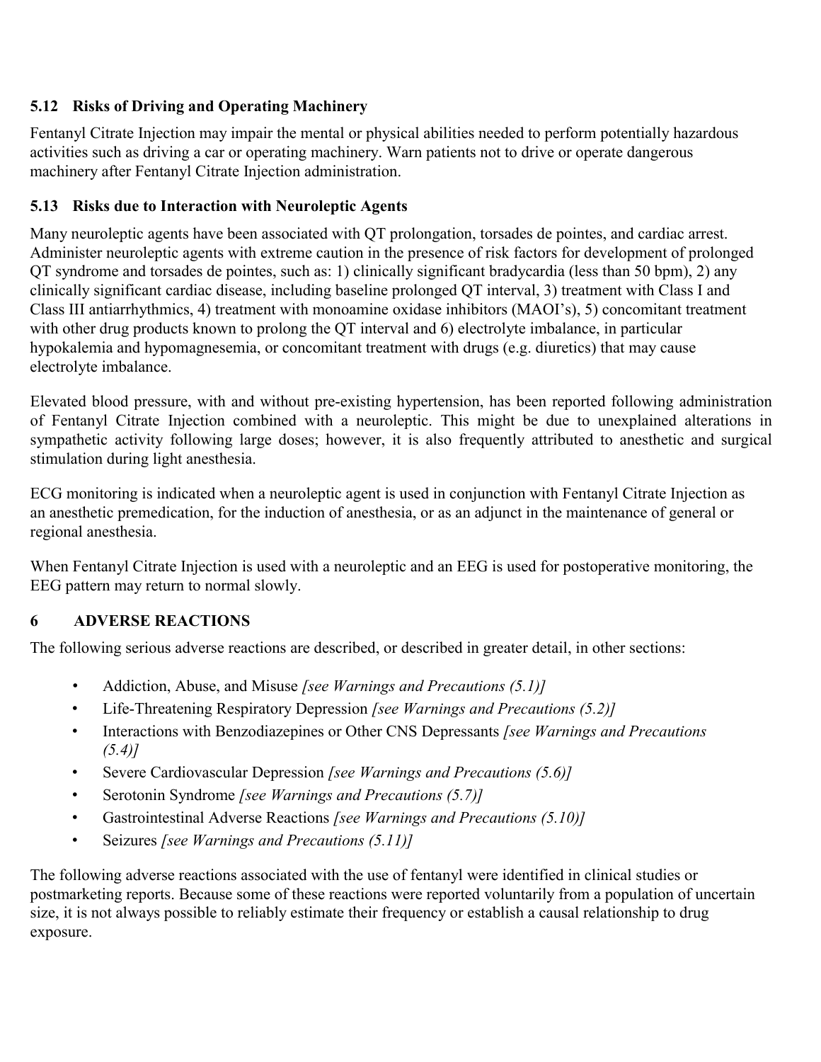# **5.12 Risks of Driving and Operating Machinery**

Fentanyl Citrate Injection may impair the mental or physical abilities needed to perform potentially hazardous activities such as driving a car or operating machinery. Warn patients not to drive or operate dangerous machinery after Fentanyl Citrate Injection administration.

# **5.13 Risks due to Interaction with Neuroleptic Agents**

Many neuroleptic agents have been associated with QT prolongation, torsades de pointes, and cardiac arrest. Administer neuroleptic agents with extreme caution in the presence of risk factors for development of prolonged QT syndrome and torsades de pointes, such as: 1) clinically significant bradycardia (less than 50 bpm), 2) any clinically significant cardiac disease, including baseline prolonged QT interval, 3) treatment with Class I and Class III antiarrhythmics, 4) treatment with monoamine oxidase inhibitors (MAOI's), 5) concomitant treatment with other drug products known to prolong the QT interval and 6) electrolyte imbalance, in particular hypokalemia and hypomagnesemia, or concomitant treatment with drugs (e.g. diuretics) that may cause electrolyte imbalance.

Elevated blood pressure, with and without pre-existing hypertension, has been reported following administration of Fentanyl Citrate Injection combined with a neuroleptic. This might be due to unexplained alterations in sympathetic activity following large doses; however, it is also frequently attributed to anesthetic and surgical stimulation during light anesthesia.

ECG monitoring is indicated when a neuroleptic agent is used in conjunction with Fentanyl Citrate Injection as an anesthetic premedication, for the induction of anesthesia, or as an adjunct in the maintenance of general or regional anesthesia.

When Fentanyl Citrate Injection is used with a neuroleptic and an EEG is used for postoperative monitoring, the EEG pattern may return to normal slowly.

# **6 ADVERSE REACTIONS**

The following serious adverse reactions are described, or described in greater detail, in other sections:

- Addiction, Abuse, and Misuse *[see Warnings and Precautions (5.1)]*
- Life-Threatening Respiratory Depression *[see Warnings and Precautions (5.2)]*
- Interactions with Benzodiazepines or Other CNS Depressants *[see Warnings and Precautions (5.4)]*
- Severe Cardiovascular Depression *[see Warnings and Precautions (5.6)]*
- Serotonin Syndrome *[see Warnings and Precautions (5.7)]*
- Gastrointestinal Adverse Reactions *[see Warnings and Precautions (5.10)]*
- Seizures *[see Warnings and Precautions (5.11)]*

The following adverse reactions associated with the use of fentanyl were identified in clinical studies or postmarketing reports. Because some of these reactions were reported voluntarily from a population of uncertain size, it is not always possible to reliably estimate their frequency or establish a causal relationship to drug exposure.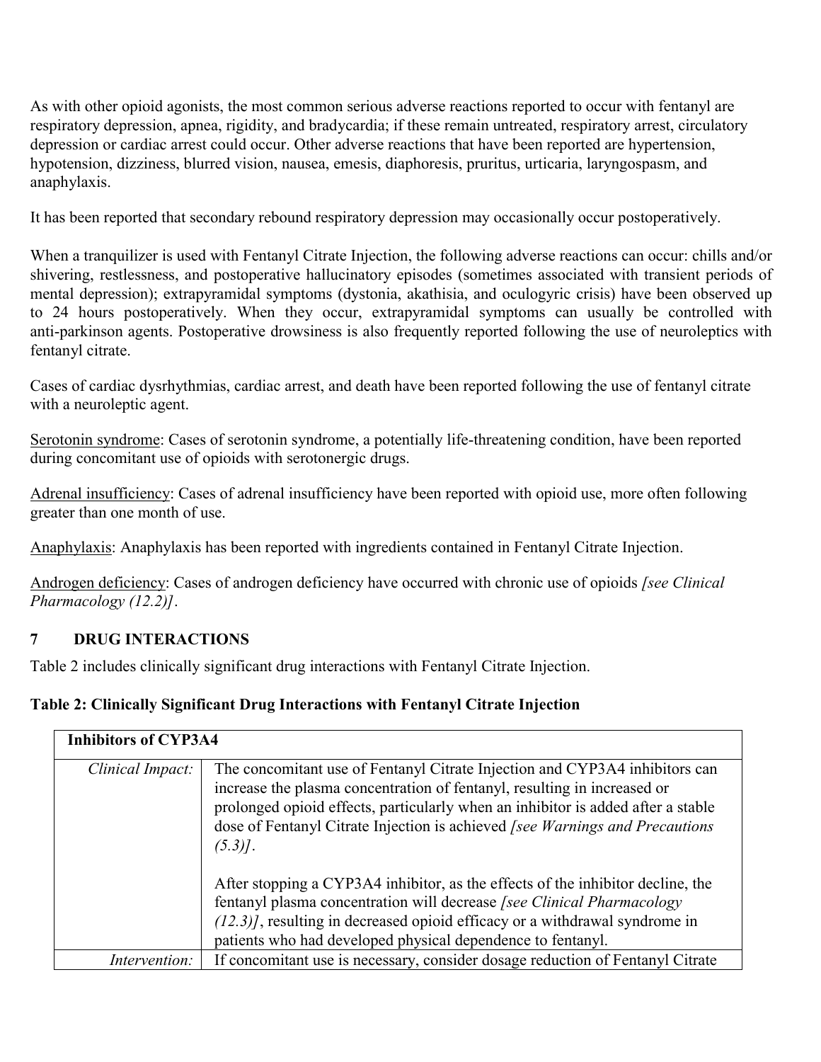As with other opioid agonists, the most common serious adverse reactions reported to occur with fentanyl are respiratory depression, apnea, rigidity, and bradycardia; if these remain untreated, respiratory arrest, circulatory depression or cardiac arrest could occur. Other adverse reactions that have been reported are hypertension, hypotension, dizziness, blurred vision, nausea, emesis, diaphoresis, pruritus, urticaria, laryngospasm, and anaphylaxis.

It has been reported that secondary rebound respiratory depression may occasionally occur postoperatively.

When a tranquilizer is used with Fentanyl Citrate Injection, the following adverse reactions can occur: chills and/or shivering, restlessness, and postoperative hallucinatory episodes (sometimes associated with transient periods of mental depression); extrapyramidal symptoms (dystonia, akathisia, and oculogyric crisis) have been observed up to 24 hours postoperatively. When they occur, extrapyramidal symptoms can usually be controlled with anti-parkinson agents. Postoperative drowsiness is also frequently reported following the use of neuroleptics with fentanyl citrate.

Cases of cardiac dysrhythmias, cardiac arrest, and death have been reported following the use of fentanyl citrate with a neuroleptic agent.

Serotonin syndrome: Cases of serotonin syndrome, a potentially life-threatening condition, have been reported during concomitant use of opioids with serotonergic drugs.

Adrenal insufficiency: Cases of adrenal insufficiency have been reported with opioid use, more often following greater than one month of use.

Anaphylaxis: Anaphylaxis has been reported with ingredients contained in Fentanyl Citrate Injection.

Androgen deficiency: Cases of androgen deficiency have occurred with chronic use of opioids *[see Clinical Pharmacology (12.2)]*.

# **7 DRUG INTERACTIONS**

Table 2 includes clinically significant drug interactions with Fentanyl Citrate Injection.

# **Table 2: Clinically Significant Drug Interactions with Fentanyl Citrate Injection**

| <b>Inhibitors of CYP3A4</b> |                                                                                                                                                                                                                                                                                                                                          |  |
|-----------------------------|------------------------------------------------------------------------------------------------------------------------------------------------------------------------------------------------------------------------------------------------------------------------------------------------------------------------------------------|--|
| Clinical Impact:            | The concomitant use of Fentanyl Citrate Injection and CYP3A4 inhibitors can<br>increase the plasma concentration of fentanyl, resulting in increased or<br>prolonged opioid effects, particularly when an inhibitor is added after a stable<br>dose of Fentanyl Citrate Injection is achieved [see Warnings and Precautions<br>$(5.3)$ . |  |
|                             | After stopping a CYP3A4 inhibitor, as the effects of the inhibitor decline, the<br>fentanyl plasma concentration will decrease [see Clinical Pharmacology<br>$(12.3)$ , resulting in decreased opioid efficacy or a withdrawal syndrome in<br>patients who had developed physical dependence to fentanyl.                                |  |
| <i>Intervention:</i>        | If concomitant use is necessary, consider dosage reduction of Fentanyl Citrate                                                                                                                                                                                                                                                           |  |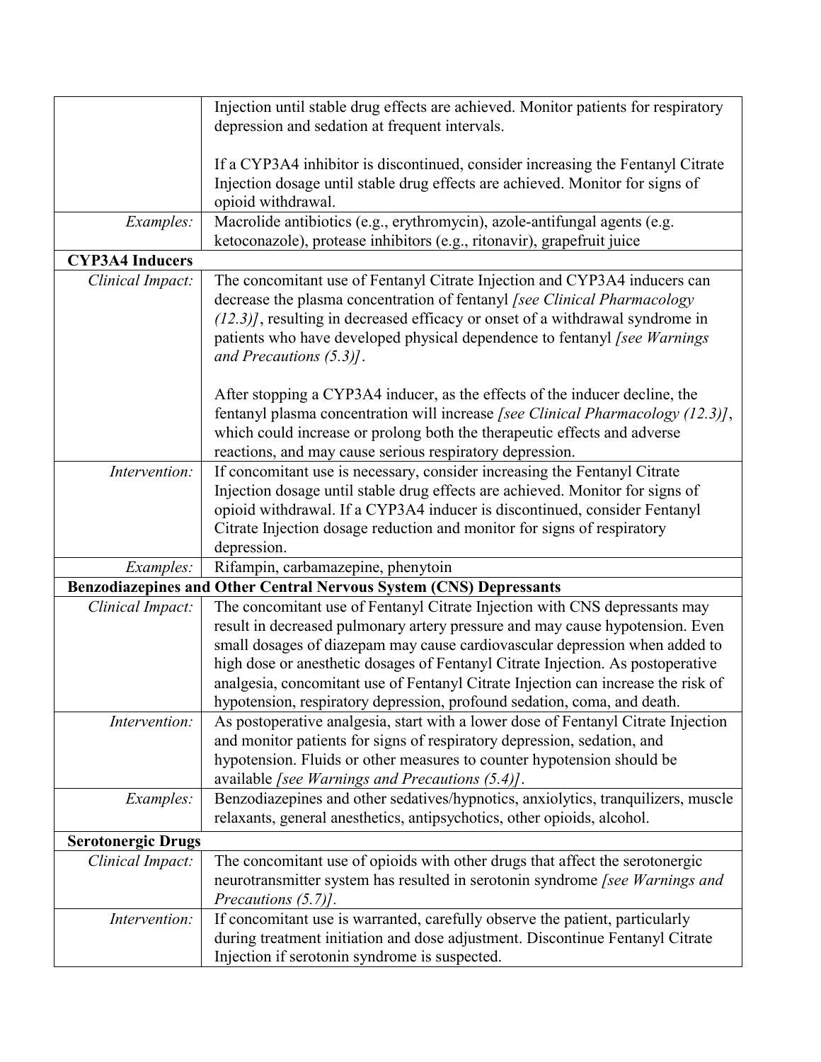|                           | Injection until stable drug effects are achieved. Monitor patients for respiratory |  |
|---------------------------|------------------------------------------------------------------------------------|--|
|                           | depression and sedation at frequent intervals.                                     |  |
|                           |                                                                                    |  |
|                           | If a CYP3A4 inhibitor is discontinued, consider increasing the Fentanyl Citrate    |  |
|                           | Injection dosage until stable drug effects are achieved. Monitor for signs of      |  |
|                           | opioid withdrawal.                                                                 |  |
|                           |                                                                                    |  |
| Examples:                 | Macrolide antibiotics (e.g., erythromycin), azole-antifungal agents (e.g.          |  |
|                           | ketoconazole), protease inhibitors (e.g., ritonavir), grapefruit juice             |  |
| <b>CYP3A4 Inducers</b>    |                                                                                    |  |
| Clinical Impact:          | The concomitant use of Fentanyl Citrate Injection and CYP3A4 inducers can          |  |
|                           | decrease the plasma concentration of fentanyl [see Clinical Pharmacology           |  |
|                           | $(12.3)$ ], resulting in decreased efficacy or onset of a withdrawal syndrome in   |  |
|                           | patients who have developed physical dependence to fentanyl [see Warnings          |  |
|                           | and Precautions $(5.3)$ .                                                          |  |
|                           |                                                                                    |  |
|                           | After stopping a CYP3A4 inducer, as the effects of the inducer decline, the        |  |
|                           | fentanyl plasma concentration will increase [see Clinical Pharmacology (12.3)],    |  |
|                           | which could increase or prolong both the therapeutic effects and adverse           |  |
|                           | reactions, and may cause serious respiratory depression.                           |  |
| Intervention:             | If concomitant use is necessary, consider increasing the Fentanyl Citrate          |  |
|                           | Injection dosage until stable drug effects are achieved. Monitor for signs of      |  |
|                           | opioid withdrawal. If a CYP3A4 inducer is discontinued, consider Fentanyl          |  |
|                           | Citrate Injection dosage reduction and monitor for signs of respiratory            |  |
|                           | depression.                                                                        |  |
| Examples:                 | Rifampin, carbamazepine, phenytoin                                                 |  |
|                           |                                                                                    |  |
|                           | Benzodiazepines and Other Central Nervous System (CNS) Depressants                 |  |
| Clinical Impact:          | The concomitant use of Fentanyl Citrate Injection with CNS depressants may         |  |
|                           | result in decreased pulmonary artery pressure and may cause hypotension. Even      |  |
|                           | small dosages of diazepam may cause cardiovascular depression when added to        |  |
|                           | high dose or anesthetic dosages of Fentanyl Citrate Injection. As postoperative    |  |
|                           | analgesia, concomitant use of Fentanyl Citrate Injection can increase the risk of  |  |
|                           | hypotension, respiratory depression, profound sedation, coma, and death.           |  |
| Intervention:             | As postoperative analgesia, start with a lower dose of Fentanyl Citrate Injection  |  |
|                           | and monitor patients for signs of respiratory depression, sedation, and            |  |
|                           | hypotension. Fluids or other measures to counter hypotension should be             |  |
|                           | available [see Warnings and Precautions (5.4)].                                    |  |
| Examples:                 | Benzodiazepines and other sedatives/hypnotics, anxiolytics, tranquilizers, muscle  |  |
|                           | relaxants, general anesthetics, antipsychotics, other opioids, alcohol.            |  |
| <b>Serotonergic Drugs</b> |                                                                                    |  |
| Clinical Impact:          | The concomitant use of opioids with other drugs that affect the serotonergic       |  |
|                           | neurotransmitter system has resulted in serotonin syndrome [see Warnings and       |  |
|                           | Precautions $(5.7)$ ].                                                             |  |
| Intervention:             | If concomitant use is warranted, carefully observe the patient, particularly       |  |
|                           |                                                                                    |  |
|                           | during treatment initiation and dose adjustment. Discontinue Fentanyl Citrate      |  |
|                           | Injection if serotonin syndrome is suspected.                                      |  |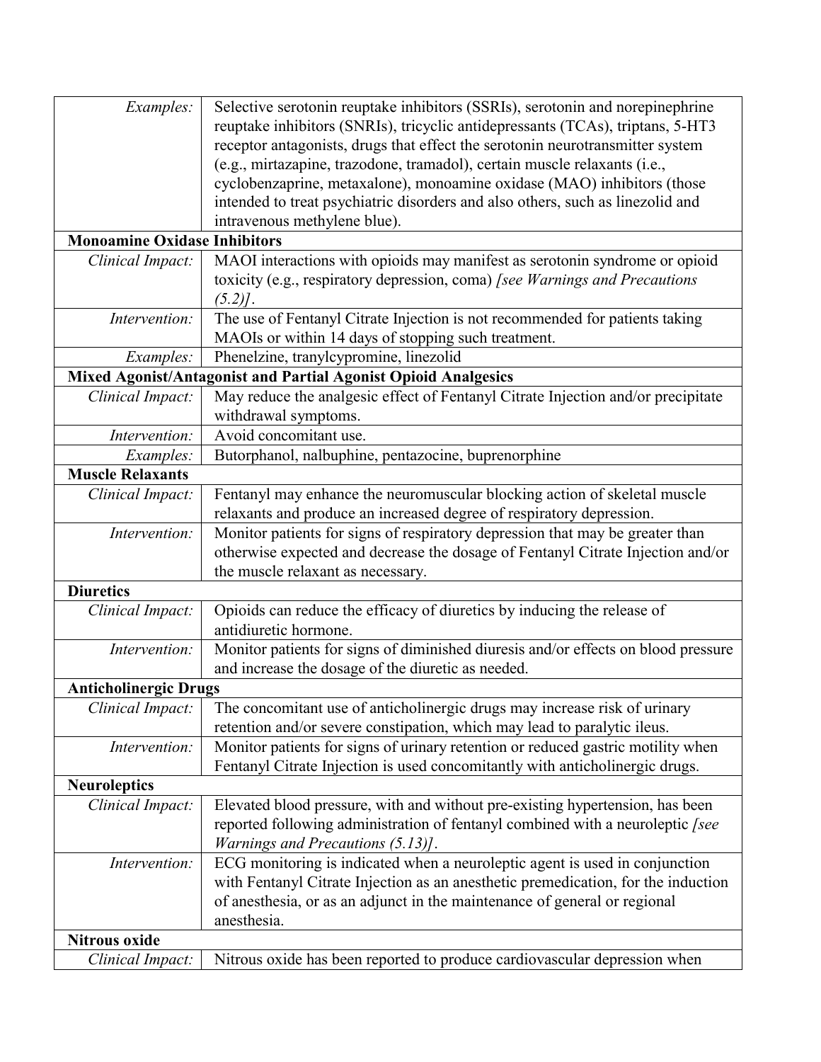| Examples:                           | Selective serotonin reuptake inhibitors (SSRIs), serotonin and norepinephrine      |  |  |
|-------------------------------------|------------------------------------------------------------------------------------|--|--|
|                                     | reuptake inhibitors (SNRIs), tricyclic antidepressants (TCAs), triptans, 5-HT3     |  |  |
|                                     | receptor antagonists, drugs that effect the serotonin neurotransmitter system      |  |  |
|                                     | (e.g., mirtazapine, trazodone, tramadol), certain muscle relaxants (i.e.,          |  |  |
|                                     | cyclobenzaprine, metaxalone), monoamine oxidase (MAO) inhibitors (those            |  |  |
|                                     | intended to treat psychiatric disorders and also others, such as linezolid and     |  |  |
|                                     | intravenous methylene blue).                                                       |  |  |
| <b>Monoamine Oxidase Inhibitors</b> |                                                                                    |  |  |
| Clinical Impact:                    | MAOI interactions with opioids may manifest as serotonin syndrome or opioid        |  |  |
|                                     | toxicity (e.g., respiratory depression, coma) [see Warnings and Precautions        |  |  |
|                                     | $(5.2)$ .                                                                          |  |  |
| Intervention:                       | The use of Fentanyl Citrate Injection is not recommended for patients taking       |  |  |
|                                     | MAOIs or within 14 days of stopping such treatment.                                |  |  |
| Examples:                           | Phenelzine, tranylcypromine, linezolid                                             |  |  |
|                                     | Mixed Agonist/Antagonist and Partial Agonist Opioid Analgesics                     |  |  |
| Clinical Impact:                    | May reduce the analgesic effect of Fentanyl Citrate Injection and/or precipitate   |  |  |
|                                     | withdrawal symptoms.                                                               |  |  |
| Intervention:                       | Avoid concomitant use.                                                             |  |  |
| Examples:                           | Butorphanol, nalbuphine, pentazocine, buprenorphine                                |  |  |
| <b>Muscle Relaxants</b>             |                                                                                    |  |  |
| Clinical Impact:                    | Fentanyl may enhance the neuromuscular blocking action of skeletal muscle          |  |  |
|                                     | relaxants and produce an increased degree of respiratory depression.               |  |  |
| Intervention:                       | Monitor patients for signs of respiratory depression that may be greater than      |  |  |
|                                     | otherwise expected and decrease the dosage of Fentanyl Citrate Injection and/or    |  |  |
|                                     | the muscle relaxant as necessary.                                                  |  |  |
| <b>Diuretics</b>                    |                                                                                    |  |  |
| Clinical Impact:                    | Opioids can reduce the efficacy of diuretics by inducing the release of            |  |  |
|                                     | antidiuretic hormone.                                                              |  |  |
| Intervention:                       | Monitor patients for signs of diminished diuresis and/or effects on blood pressure |  |  |
|                                     | and increase the dosage of the diuretic as needed.                                 |  |  |
| <b>Anticholinergic Drugs</b>        |                                                                                    |  |  |
| Clinical Impact:                    | The concomitant use of anticholinergic drugs may increase risk of urinary          |  |  |
|                                     | retention and/or severe constipation, which may lead to paralytic ileus.           |  |  |
| Intervention:                       | Monitor patients for signs of urinary retention or reduced gastric motility when   |  |  |
|                                     | Fentanyl Citrate Injection is used concomitantly with anticholinergic drugs.       |  |  |
| <b>Neuroleptics</b>                 |                                                                                    |  |  |
| Clinical Impact:                    | Elevated blood pressure, with and without pre-existing hypertension, has been      |  |  |
|                                     | reported following administration of fentanyl combined with a neuroleptic [see     |  |  |
|                                     | <i>Warnings and Precautions (5.13)].</i>                                           |  |  |
| Intervention:                       | ECG monitoring is indicated when a neuroleptic agent is used in conjunction        |  |  |
|                                     | with Fentanyl Citrate Injection as an anesthetic premedication, for the induction  |  |  |
|                                     | of anesthesia, or as an adjunct in the maintenance of general or regional          |  |  |
|                                     | anesthesia.                                                                        |  |  |
| <b>Nitrous oxide</b>                |                                                                                    |  |  |
| Clinical Impact:                    | Nitrous oxide has been reported to produce cardiovascular depression when          |  |  |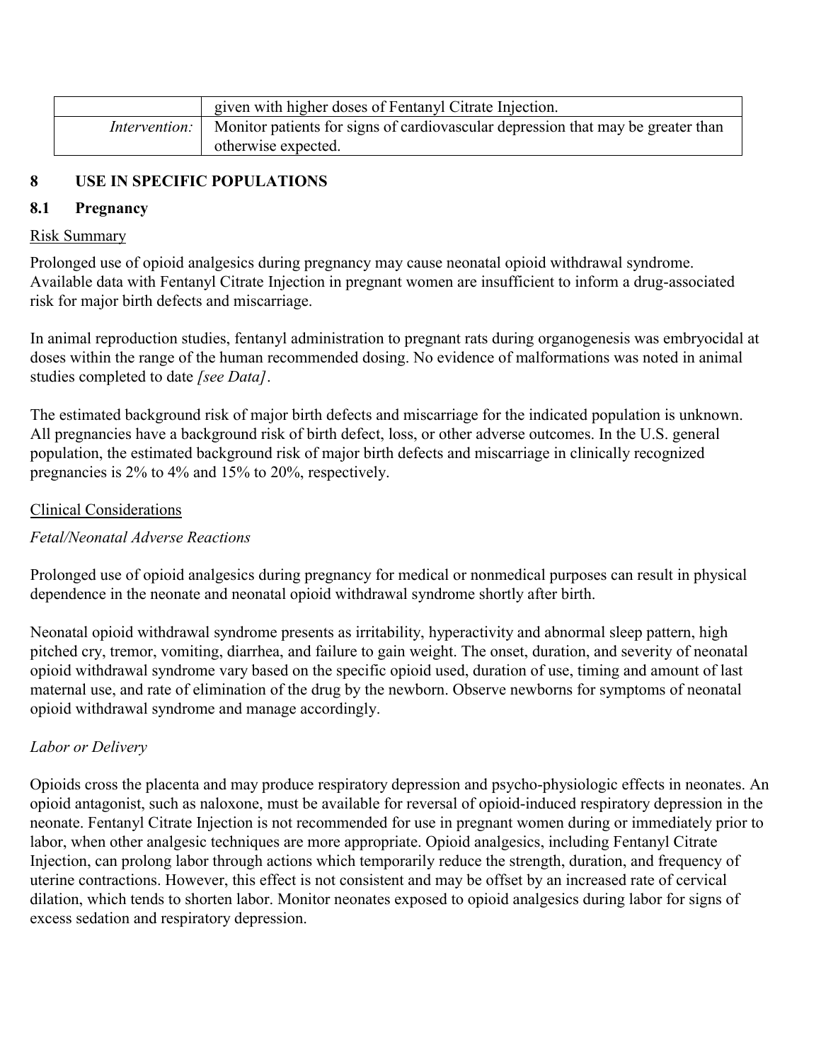| given with higher doses of Fentanyl Citrate Injection.                                                  |  |
|---------------------------------------------------------------------------------------------------------|--|
| <i>Intervention:</i>   Monitor patients for signs of cardiovascular depression that may be greater than |  |
| otherwise expected.                                                                                     |  |

# **8 USE IN SPECIFIC POPULATIONS**

### **8.1 Pregnancy**

#### Risk Summary

Prolonged use of opioid analgesics during pregnancy may cause neonatal opioid withdrawal syndrome. Available data with Fentanyl Citrate Injection in pregnant women are insufficient to inform a drug-associated risk for major birth defects and miscarriage.

In animal reproduction studies, fentanyl administration to pregnant rats during organogenesis was embryocidal at doses within the range of the human recommended dosing. No evidence of malformations was noted in animal studies completed to date *[see Data]*.

The estimated background risk of major birth defects and miscarriage for the indicated population is unknown. All pregnancies have a background risk of birth defect, loss, or other adverse outcomes. In the U.S. general population, the estimated background risk of major birth defects and miscarriage in clinically recognized pregnancies is 2% to 4% and 15% to 20%, respectively.

## Clinical Considerations

# *Fetal/Neonatal Adverse Reactions*

Prolonged use of opioid analgesics during pregnancy for medical or nonmedical purposes can result in physical dependence in the neonate and neonatal opioid withdrawal syndrome shortly after birth.

Neonatal opioid withdrawal syndrome presents as irritability, hyperactivity and abnormal sleep pattern, high pitched cry, tremor, vomiting, diarrhea, and failure to gain weight. The onset, duration, and severity of neonatal opioid withdrawal syndrome vary based on the specific opioid used, duration of use, timing and amount of last maternal use, and rate of elimination of the drug by the newborn. Observe newborns for symptoms of neonatal opioid withdrawal syndrome and manage accordingly.

### *Labor or Delivery*

Opioids cross the placenta and may produce respiratory depression and psycho-physiologic effects in neonates. An opioid antagonist, such as naloxone, must be available for reversal of opioid-induced respiratory depression in the neonate. Fentanyl Citrate Injection is not recommended for use in pregnant women during or immediately prior to labor, when other analgesic techniques are more appropriate. Opioid analgesics, including Fentanyl Citrate Injection, can prolong labor through actions which temporarily reduce the strength, duration, and frequency of uterine contractions. However, this effect is not consistent and may be offset by an increased rate of cervical dilation, which tends to shorten labor. Monitor neonates exposed to opioid analgesics during labor for signs of excess sedation and respiratory depression.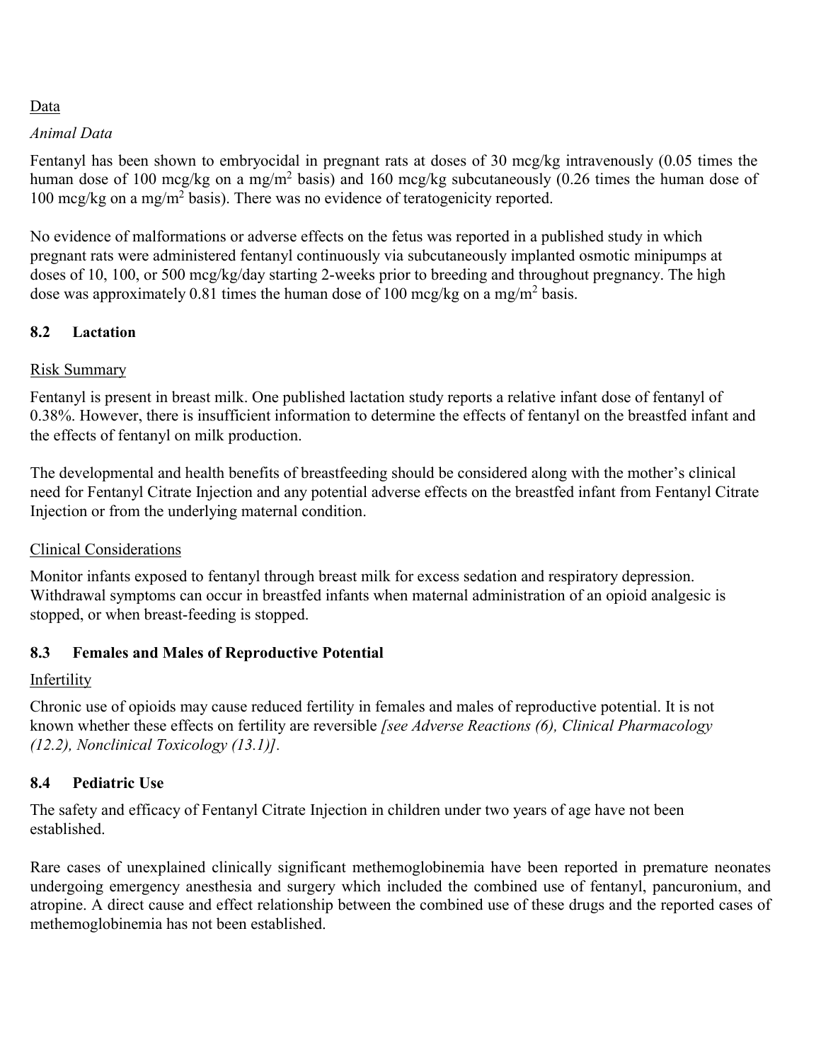# Data

### *Animal Data*

Fentanyl has been shown to embryocidal in pregnant rats at doses of 30 mcg/kg intravenously (0.05 times the human dose of 100 mcg/kg on a mg/m<sup>2</sup> basis) and 160 mcg/kg subcutaneously (0.26 times the human dose of 100 mcg/kg on a mg/m<sup>2</sup> basis). There was no evidence of teratogenicity reported.

No evidence of malformations or adverse effects on the fetus was reported in a published study in which pregnant rats were administered fentanyl continuously via subcutaneously implanted osmotic minipumps at doses of 10, 100, or 500 mcg/kg/day starting 2-weeks prior to breeding and throughout pregnancy. The high dose was approximately 0.81 times the human dose of 100 mcg/kg on a mg/m<sup>2</sup> basis.

## **8.2 Lactation**

## Risk Summary

Fentanyl is present in breast milk. One published lactation study reports a relative infant dose of fentanyl of 0.38%. However, there is insufficient information to determine the effects of fentanyl on the breastfed infant and the effects of fentanyl on milk production.

The developmental and health benefits of breastfeeding should be considered along with the mother's clinical need for Fentanyl Citrate Injection and any potential adverse effects on the breastfed infant from Fentanyl Citrate Injection or from the underlying maternal condition.

# Clinical Considerations

Monitor infants exposed to fentanyl through breast milk for excess sedation and respiratory depression. Withdrawal symptoms can occur in breastfed infants when maternal administration of an opioid analgesic is stopped, or when breast-feeding is stopped.

### **8.3 Females and Males of Reproductive Potential**

### Infertility

Chronic use of opioids may cause reduced fertility in females and males of reproductive potential. It is not known whether these effects on fertility are reversible *[see Adverse Reactions (6), Clinical Pharmacology (12.2), Nonclinical Toxicology (13.1)].*

# **8.4 Pediatric Use**

The safety and efficacy of Fentanyl Citrate Injection in children under two years of age have not been established.

Rare cases of unexplained clinically significant methemoglobinemia have been reported in premature neonates undergoing emergency anesthesia and surgery which included the combined use of fentanyl, pancuronium, and atropine. A direct cause and effect relationship between the combined use of these drugs and the reported cases of methemoglobinemia has not been established.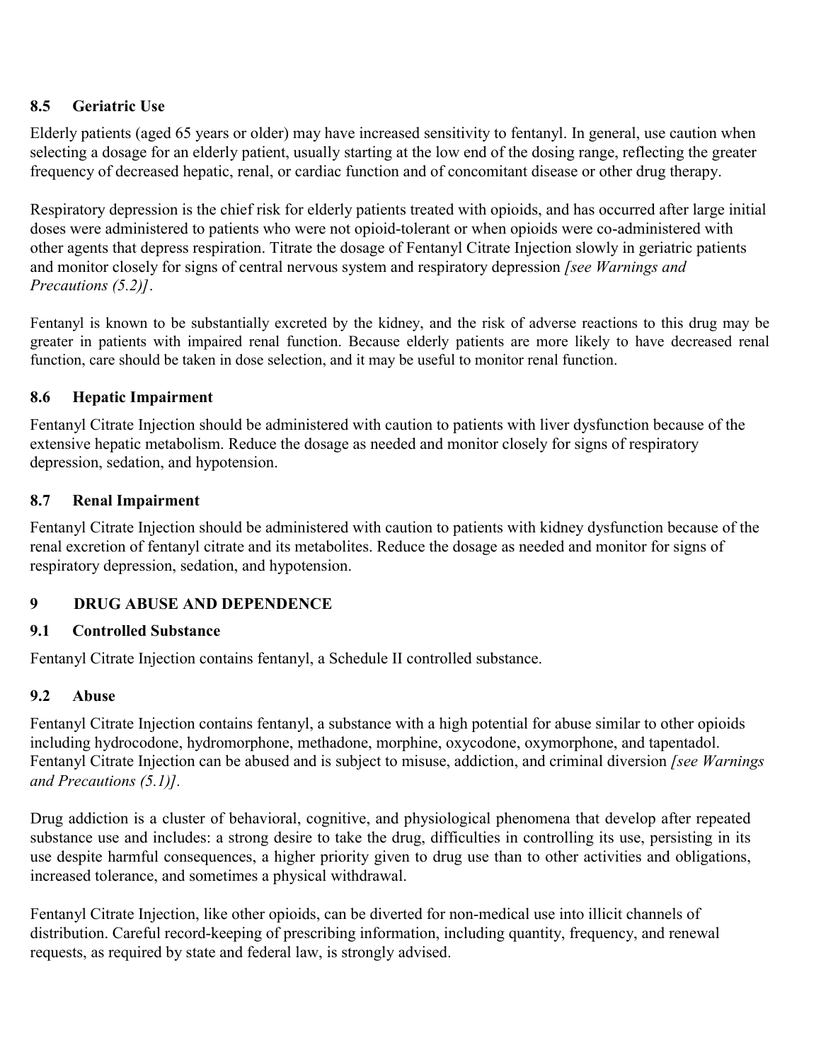# **8.5 Geriatric Use**

Elderly patients (aged 65 years or older) may have increased sensitivity to fentanyl. In general, use caution when selecting a dosage for an elderly patient, usually starting at the low end of the dosing range, reflecting the greater frequency of decreased hepatic, renal, or cardiac function and of concomitant disease or other drug therapy.

Respiratory depression is the chief risk for elderly patients treated with opioids, and has occurred after large initial doses were administered to patients who were not opioid-tolerant or when opioids were co-administered with other agents that depress respiration. Titrate the dosage of Fentanyl Citrate Injection slowly in geriatric patients and monitor closely for signs of central nervous system and respiratory depression *[see Warnings and Precautions (5.2)]*.

Fentanyl is known to be substantially excreted by the kidney, and the risk of adverse reactions to this drug may be greater in patients with impaired renal function. Because elderly patients are more likely to have decreased renal function, care should be taken in dose selection, and it may be useful to monitor renal function.

### **8.6 Hepatic Impairment**

Fentanyl Citrate Injection should be administered with caution to patients with liver dysfunction because of the extensive hepatic metabolism. Reduce the dosage as needed and monitor closely for signs of respiratory depression, sedation, and hypotension.

### **8.7 Renal Impairment**

Fentanyl Citrate Injection should be administered with caution to patients with kidney dysfunction because of the renal excretion of fentanyl citrate and its metabolites. Reduce the dosage as needed and monitor for signs of respiratory depression, sedation, and hypotension.

# **9 DRUG ABUSE AND DEPENDENCE**

### **9.1 Controlled Substance**

Fentanyl Citrate Injection contains fentanyl, a Schedule II controlled substance.

### **9.2 Abuse**

Fentanyl Citrate Injection contains fentanyl, a substance with a high potential for abuse similar to other opioids including hydrocodone, hydromorphone, methadone, morphine, oxycodone, oxymorphone, and tapentadol. Fentanyl Citrate Injection can be abused and is subject to misuse, addiction, and criminal diversion *[see Warnings and Precautions (5.1)].*

Drug addiction is a cluster of behavioral, cognitive, and physiological phenomena that develop after repeated substance use and includes: a strong desire to take the drug, difficulties in controlling its use, persisting in its use despite harmful consequences, a higher priority given to drug use than to other activities and obligations, increased tolerance, and sometimes a physical withdrawal.

Fentanyl Citrate Injection, like other opioids, can be diverted for non-medical use into illicit channels of distribution. Careful record-keeping of prescribing information, including quantity, frequency, and renewal requests, as required by state and federal law, is strongly advised.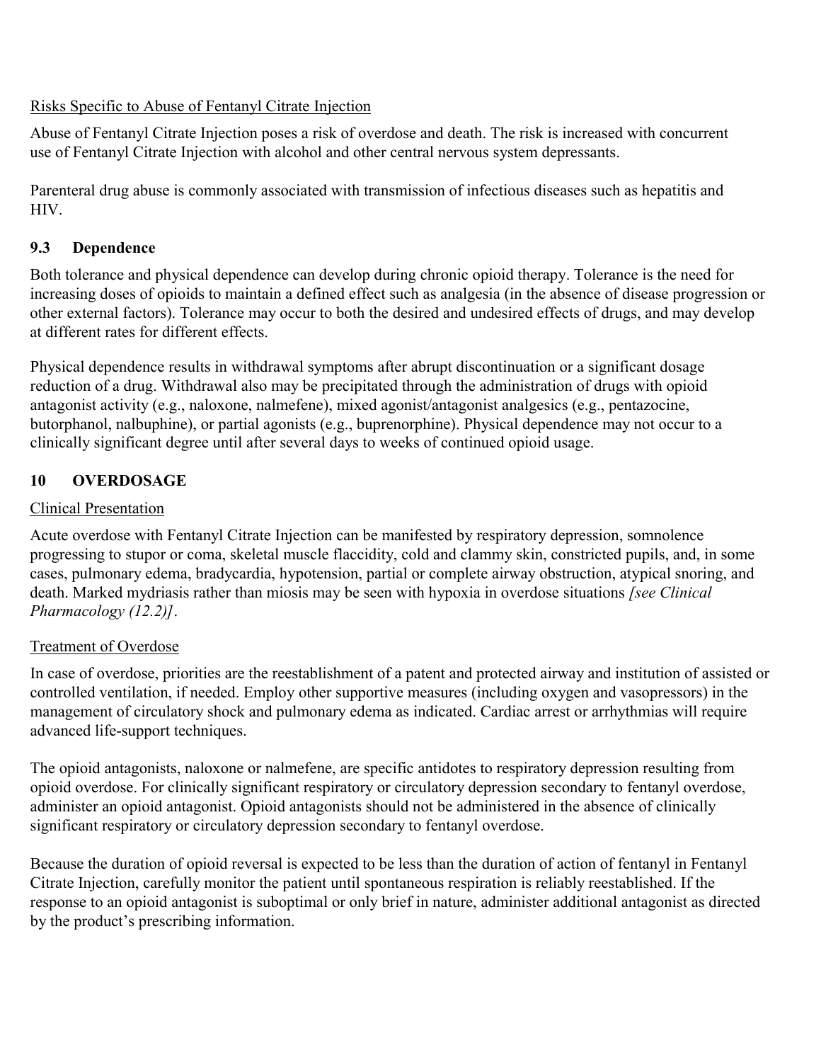## Risks Specific to Abuse of Fentanyl Citrate Injection

Abuse of Fentanyl Citrate Injection poses a risk of overdose and death. The risk is increased with concurrent use of Fentanyl Citrate Injection with alcohol and other central nervous system depressants.

Parenteral drug abuse is commonly associated with transmission of infectious diseases such as hepatitis and HIV.

# **9.3 Dependence**

Both tolerance and physical dependence can develop during chronic opioid therapy. Tolerance is the need for increasing doses of opioids to maintain a defined effect such as analgesia (in the absence of disease progression or other external factors). Tolerance may occur to both the desired and undesired effects of drugs, and may develop at different rates for different effects.

Physical dependence results in withdrawal symptoms after abrupt discontinuation or a significant dosage reduction of a drug. Withdrawal also may be precipitated through the administration of drugs with opioid antagonist activity (e.g., naloxone, nalmefene), mixed agonist/antagonist analgesics (e.g., pentazocine, butorphanol, nalbuphine), or partial agonists (e.g., buprenorphine). Physical dependence may not occur to a clinically significant degree until after several days to weeks of continued opioid usage.

# **10 OVERDOSAGE**

### Clinical Presentation

Acute overdose with Fentanyl Citrate Injection can be manifested by respiratory depression, somnolence progressing to stupor or coma, skeletal muscle flaccidity, cold and clammy skin, constricted pupils, and, in some cases, pulmonary edema, bradycardia, hypotension, partial or complete airway obstruction, atypical snoring, and death. Marked mydriasis rather than miosis may be seen with hypoxia in overdose situations *[see Clinical Pharmacology (12.2)]*.

### Treatment of Overdose

In case of overdose, priorities are the reestablishment of a patent and protected airway and institution of assisted or controlled ventilation, if needed. Employ other supportive measures (including oxygen and vasopressors) in the management of circulatory shock and pulmonary edema as indicated. Cardiac arrest or arrhythmias will require advanced life-support techniques.

The opioid antagonists, naloxone or nalmefene, are specific antidotes to respiratory depression resulting from opioid overdose. For clinically significant respiratory or circulatory depression secondary to fentanyl overdose, administer an opioid antagonist. Opioid antagonists should not be administered in the absence of clinically significant respiratory or circulatory depression secondary to fentanyl overdose.

Because the duration of opioid reversal is expected to be less than the duration of action of fentanyl in Fentanyl Citrate Injection, carefully monitor the patient until spontaneous respiration is reliably reestablished. If the response to an opioid antagonist is suboptimal or only brief in nature, administer additional antagonist as directed by the product's prescribing information.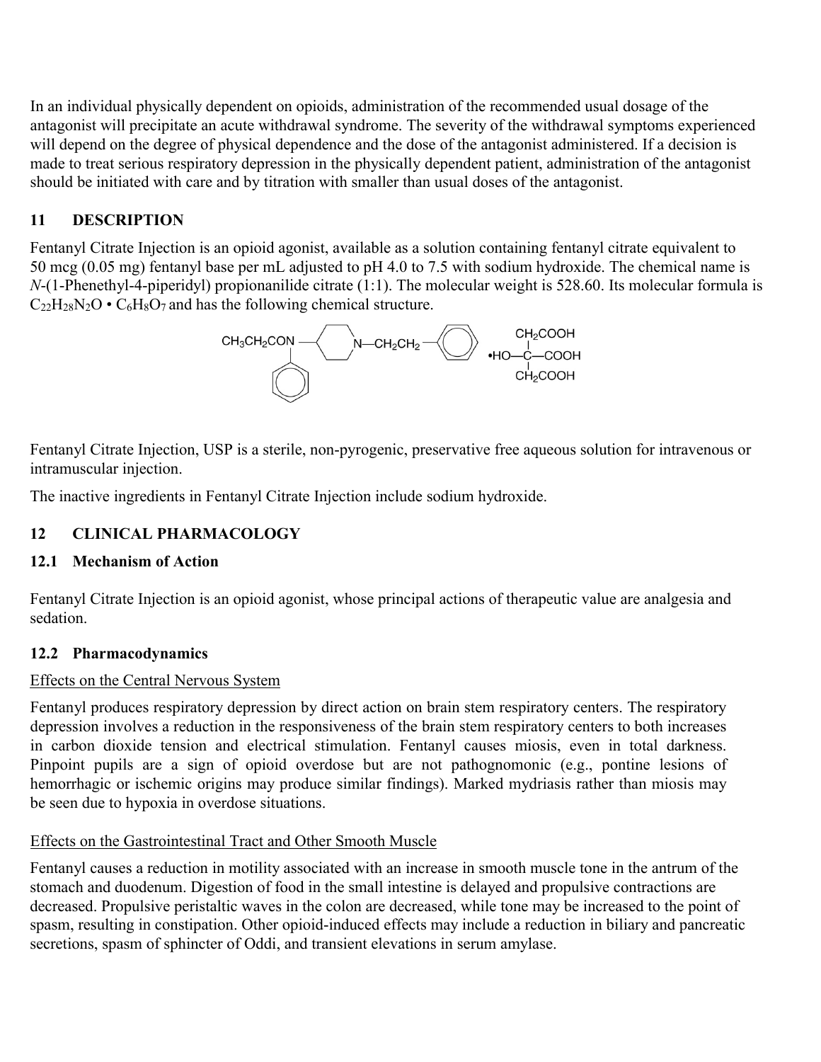In an individual physically dependent on opioids, administration of the recommended usual dosage of the antagonist will precipitate an acute withdrawal syndrome. The severity of the withdrawal symptoms experienced will depend on the degree of physical dependence and the dose of the antagonist administered. If a decision is made to treat serious respiratory depression in the physically dependent patient, administration of the antagonist should be initiated with care and by titration with smaller than usual doses of the antagonist.

# **11 DESCRIPTION**

Fentanyl Citrate Injection is an opioid agonist, available as a solution containing fentanyl citrate equivalent to 50 mcg (0.05 mg) fentanyl base per mL adjusted to pH 4.0 to 7.5 with sodium hydroxide. The chemical name is *N*-(1-Phenethyl-4-piperidyl) propionanilide citrate (1:1). The molecular weight is 528.60. Its molecular formula is  $C_{22}H_{28}N_2O \cdot C_6H_8O_7$  and has the following chemical structure.



Fentanyl Citrate Injection, USP is a sterile, non-pyrogenic, preservative free aqueous solution for intravenous or intramuscular injection.

The inactive ingredients in Fentanyl Citrate Injection include sodium hydroxide.

### **12 CLINICAL PHARMACOLOGY**

### **12.1 Mechanism of Action**

Fentanyl Citrate Injection is an opioid agonist, whose principal actions of therapeutic value are analgesia and sedation.

### **12.2 Pharmacodynamics**

#### Effects on the Central Nervous System

Fentanyl produces respiratory depression by direct action on brain stem respiratory centers. The respiratory depression involves a reduction in the responsiveness of the brain stem respiratory centers to both increases in carbon dioxide tension and electrical stimulation. Fentanyl causes miosis, even in total darkness. Pinpoint pupils are a sign of opioid overdose but are not pathognomonic (e.g., pontine lesions of hemorrhagic or ischemic origins may produce similar findings). Marked mydriasis rather than miosis may be seen due to hypoxia in overdose situations.

### Effects on the Gastrointestinal Tract and Other Smooth Muscle

Fentanyl causes a reduction in motility associated with an increase in smooth muscle tone in the antrum of the stomach and duodenum. Digestion of food in the small intestine is delayed and propulsive contractions are decreased. Propulsive peristaltic waves in the colon are decreased, while tone may be increased to the point of spasm, resulting in constipation. Other opioid-induced effects may include a reduction in biliary and pancreatic secretions, spasm of sphincter of Oddi, and transient elevations in serum amylase.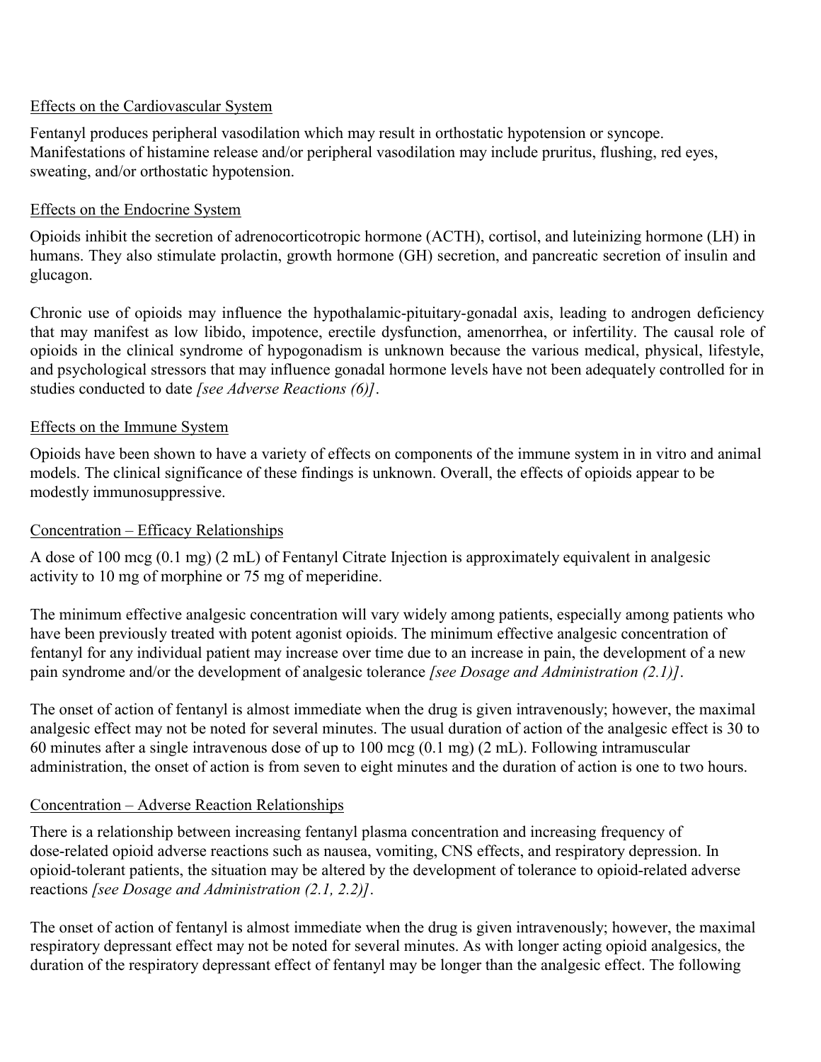### Effects on the Cardiovascular System

Fentanyl produces peripheral vasodilation which may result in orthostatic hypotension or syncope. Manifestations of histamine release and/or peripheral vasodilation may include pruritus, flushing, red eyes, sweating, and/or orthostatic hypotension.

## Effects on the Endocrine System

Opioids inhibit the secretion of adrenocorticotropic hormone (ACTH), cortisol, and luteinizing hormone (LH) in humans. They also stimulate prolactin, growth hormone (GH) secretion, and pancreatic secretion of insulin and glucagon.

Chronic use of opioids may influence the hypothalamic-pituitary-gonadal axis, leading to androgen deficiency that may manifest as low libido, impotence, erectile dysfunction, amenorrhea, or infertility. The causal role of opioids in the clinical syndrome of hypogonadism is unknown because the various medical, physical, lifestyle, and psychological stressors that may influence gonadal hormone levels have not been adequately controlled for in studies conducted to date *[see Adverse Reactions (6)]*.

## Effects on the Immune System

Opioids have been shown to have a variety of effects on components of the immune system in in vitro and animal models. The clinical significance of these findings is unknown. Overall, the effects of opioids appear to be modestly immunosuppressive.

### Concentration – Efficacy Relationships

A dose of 100 mcg (0.1 mg) (2 mL) of Fentanyl Citrate Injection is approximately equivalent in analgesic activity to 10 mg of morphine or 75 mg of meperidine.

The minimum effective analgesic concentration will vary widely among patients, especially among patients who have been previously treated with potent agonist opioids. The minimum effective analgesic concentration of fentanyl for any individual patient may increase over time due to an increase in pain, the development of a new pain syndrome and/or the development of analgesic tolerance *[see Dosage and Administration (2.1)]*.

The onset of action of fentanyl is almost immediate when the drug is given intravenously; however, the maximal analgesic effect may not be noted for several minutes. The usual duration of action of the analgesic effect is 30 to 60 minutes after a single intravenous dose of up to 100 mcg (0.1 mg) (2 mL). Following intramuscular administration, the onset of action is from seven to eight minutes and the duration of action is one to two hours.

# Concentration – Adverse Reaction Relationships

There is a relationship between increasing fentanyl plasma concentration and increasing frequency of dose-related opioid adverse reactions such as nausea, vomiting, CNS effects, and respiratory depression. In opioid-tolerant patients, the situation may be altered by the development of tolerance to opioid-related adverse reactions *[see Dosage and Administration (2.1, 2.2)]*.

The onset of action of fentanyl is almost immediate when the drug is given intravenously; however, the maximal respiratory depressant effect may not be noted for several minutes. As with longer acting opioid analgesics, the duration of the respiratory depressant effect of fentanyl may be longer than the analgesic effect. The following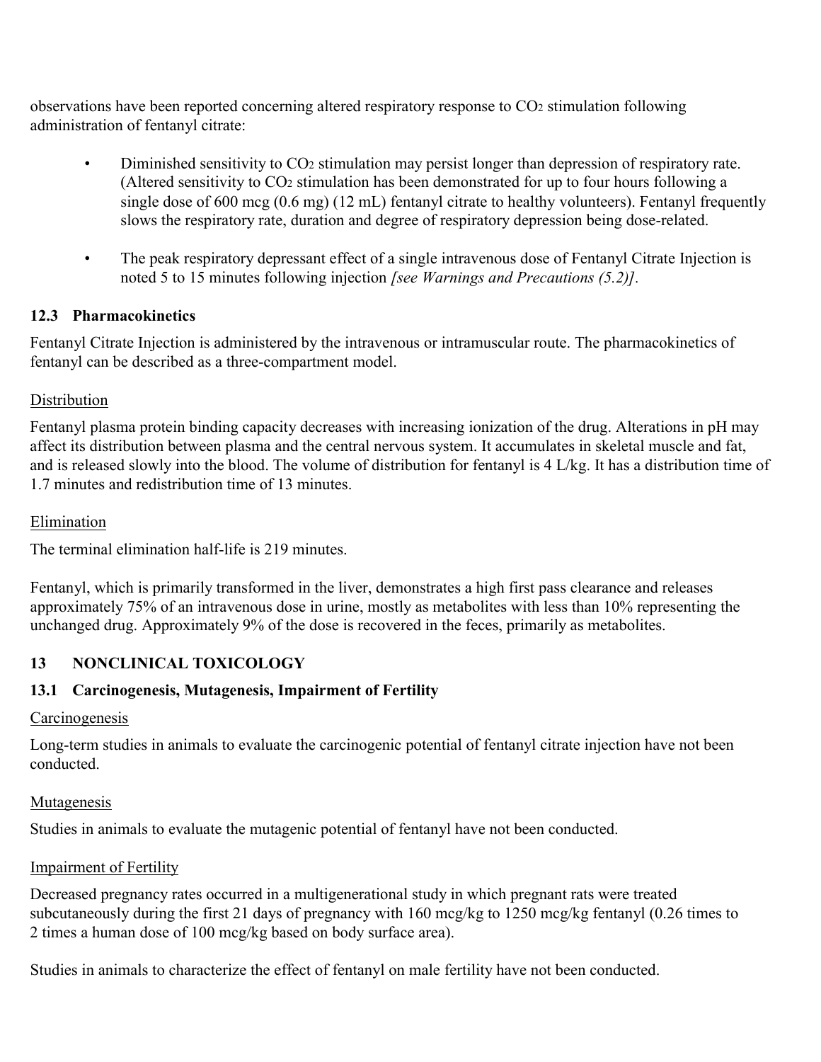observations have been reported concerning altered respiratory response to CO<sup>2</sup> stimulation following administration of fentanyl citrate:

- Diminished sensitivity to CO<sup>2</sup> stimulation may persist longer than depression of respiratory rate. (Altered sensitivity to CO<sup>2</sup> stimulation has been demonstrated for up to four hours following a single dose of 600 mcg (0.6 mg) (12 mL) fentanyl citrate to healthy volunteers). Fentanyl frequently slows the respiratory rate, duration and degree of respiratory depression being dose-related.
- The peak respiratory depressant effect of a single intravenous dose of Fentanyl Citrate Injection is noted 5 to 15 minutes following injection *[see Warnings and Precautions (5.2)].*

# **12.3 Pharmacokinetics**

Fentanyl Citrate Injection is administered by the intravenous or intramuscular route. The pharmacokinetics of fentanyl can be described as a three-compartment model.

# **Distribution**

Fentanyl plasma protein binding capacity decreases with increasing ionization of the drug. Alterations in pH may affect its distribution between plasma and the central nervous system. It accumulates in skeletal muscle and fat, and is released slowly into the blood. The volume of distribution for fentanyl is 4 L/kg. It has a distribution time of 1.7 minutes and redistribution time of 13 minutes.

## Elimination

The terminal elimination half-life is 219 minutes.

Fentanyl, which is primarily transformed in the liver, demonstrates a high first pass clearance and releases approximately 75% of an intravenous dose in urine, mostly as metabolites with less than 10% representing the unchanged drug. Approximately 9% of the dose is recovered in the feces, primarily as metabolites.

# **13 NONCLINICAL TOXICOLOGY**

# **13.1 Carcinogenesis, Mutagenesis, Impairment of Fertility**

### **Carcinogenesis**

Long-term studies in animals to evaluate the carcinogenic potential of fentanyl citrate injection have not been conducted.

### Mutagenesis

Studies in animals to evaluate the mutagenic potential of fentanyl have not been conducted.

### **Impairment of Fertility**

Decreased pregnancy rates occurred in a multigenerational study in which pregnant rats were treated subcutaneously during the first 21 days of pregnancy with 160 mcg/kg to 1250 mcg/kg fentanyl (0.26 times to 2 times a human dose of 100 mcg/kg based on body surface area).

Studies in animals to characterize the effect of fentanyl on male fertility have not been conducted.